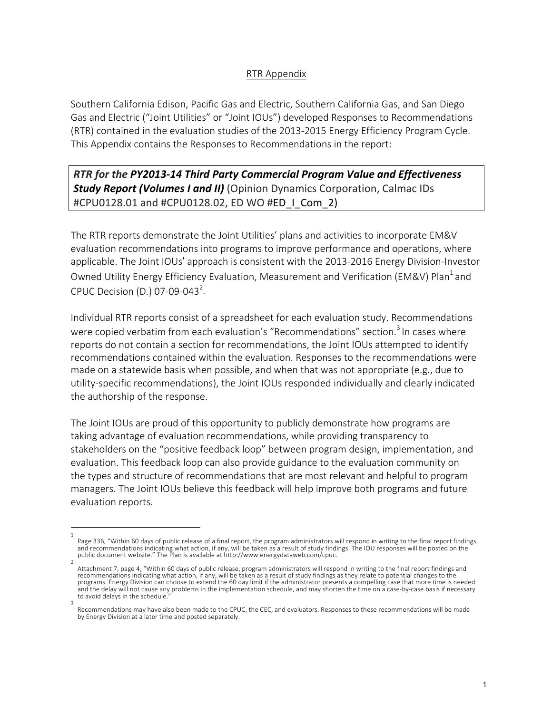## RTR Appendix

Southern California Edison, Pacific Gas and Electric, Southern California Gas, and San Diego Gas and Electric ("Joint Utilities" or "Joint IOUs") developed Responses to Recommendations (RTR) contained in the evaluation studies of the 2013-2015 Energy Efficiency Program Cycle. This Appendix contains the Responses to Recommendations in the report:

## *RTR for the PY2013-14 Third Party Commercial Program Value and Effectiveness Study Report (Volumes I and II)* (Opinion Dynamics Corporation, Calmac IDs #CPU0128.01 and #CPU0128.02, ED WO #ED\_I\_Com\_2)

The RTR reports demonstrate the Joint Utilities' plans and activities to incorporate EM&V evaluation recommendations into programs to improve performance and operations, where applicable. The Joint IOUs' approach is consistent with the 2013-2016 Energy Division-Investor Owned Utility Energy Efficiency Evaluation, Measurement and Verification (EM&V) Plan<sup>1</sup> and CPUC Decision (D.) 07-09-043<sup>2</sup>.

Individual RTR reports consist of a spreadsheet for each evaluation study. Recommendations were copied verbatim from each evaluation's "Recommendations" section.<sup>3</sup> In cases where reports do not contain a section for recommendations, the Joint IOUs attempted to identify recommendations contained within the evaluation. Responses to the recommendations were made on a statewide basis when possible, and when that was not appropriate (e.g., due to utility-specific recommendations), the Joint IOUs responded individually and clearly indicated the authorship of the response.

The Joint IOUs are proud of this opportunity to publicly demonstrate how programs are taking advantage of evaluation recommendations, while providing transparency to stakeholders on the "positive feedback loop" between program design, implementation, and evaluation. This feedback loop can also provide guidance to the evaluation community on the types and structure of recommendations that are most relevant and helpful to program managers. The Joint IOUs believe this feedback will help improve both programs and future evaluation reports.

<sup>1</sup> Page 336, "Within 60 days of public release of a final report, the program administrators will respond in writing to the final report findings and recommendations indicating what action, if any, will be taken as a result of study findings. The IOU responses will be posted on the<br>public document website." The Plan is available at http://www.energydataweb.com/cpuc.  $\overline{2}$ 

Attachment 7, page 4, "Within 60 days of public release, program administrators will respond in writing to the final report findings and<br>recommendations indicating what action, if any, will be taken as a result of study fi and the delay will not cause any problems in the implementation schedule, and may shorten the time on a case-by-case basis if necessary to avoid delays in the schedule.

<sup>3</sup> Recommendations may have also been made to the CPUC, the CEC, and evaluators. Responses to these recommendations will be made by Energy Division at a later time and posted separately.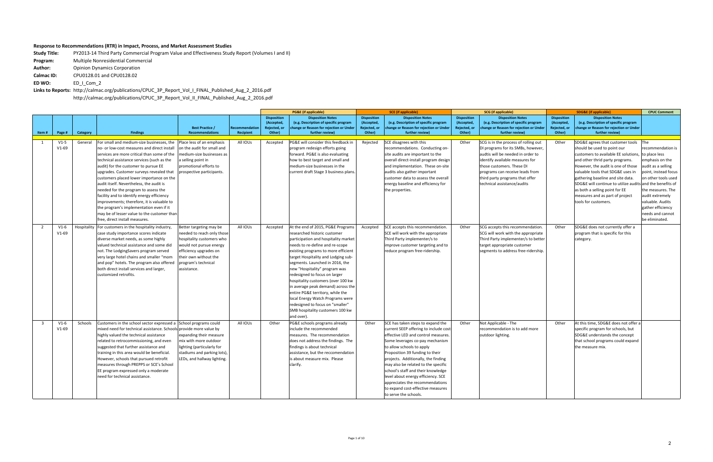## **Response to Recommendations (RTR) in Impact, Process, and Market Assessment Studies**

**Study Title:** PY2013-14 Third Party Commercial Program Value and Effectiveness Study Report (Volumes I and II) **Program:** Multiple Nonresidential Commercial **Author:** Opinion Dynamics Corporation **Calmac ID: CPU0128.01** and **CPU0128.02 ED WO:**  ED\_I\_Com\_2

Links to Reports: http://calmac.org/publications/CPUC\_3P\_Report\_Vol\_I\_FINAL\_Published\_Aug\_2\_2016.pdf http://calmac.org/publications/CPUC\_3P\_Report\_Vol\_II\_FINAL\_Published\_Aug\_2\_2016.pdf

|                |                   |             |                                                                                                                                                                                                                                                                                                                                                                                                                                                                                                                                                                                                                                  |                                                                                                                                                                                                        |                             |                                                            | <b>PG&amp;E</b> (if applicable)                                                                                                                                                                                                                                                                                                                                                                                                                                                                                                                                           |                                                            | <b>SCE</b> (if applicable)                                                                                                                                                                                                                                                                                                                                                                                                                                                       |                                                            | <b>SCG</b> (if applicable)                                                                                                                                                                                                                                                           |                                                            | <b>SDG&amp;E</b> (if applicable)                                                                                                                                                                                                                                                                                                                                                                                     | <b>CPUC Comment</b>                                                                                                                                                                                                                                      |
|----------------|-------------------|-------------|----------------------------------------------------------------------------------------------------------------------------------------------------------------------------------------------------------------------------------------------------------------------------------------------------------------------------------------------------------------------------------------------------------------------------------------------------------------------------------------------------------------------------------------------------------------------------------------------------------------------------------|--------------------------------------------------------------------------------------------------------------------------------------------------------------------------------------------------------|-----------------------------|------------------------------------------------------------|---------------------------------------------------------------------------------------------------------------------------------------------------------------------------------------------------------------------------------------------------------------------------------------------------------------------------------------------------------------------------------------------------------------------------------------------------------------------------------------------------------------------------------------------------------------------------|------------------------------------------------------------|----------------------------------------------------------------------------------------------------------------------------------------------------------------------------------------------------------------------------------------------------------------------------------------------------------------------------------------------------------------------------------------------------------------------------------------------------------------------------------|------------------------------------------------------------|--------------------------------------------------------------------------------------------------------------------------------------------------------------------------------------------------------------------------------------------------------------------------------------|------------------------------------------------------------|----------------------------------------------------------------------------------------------------------------------------------------------------------------------------------------------------------------------------------------------------------------------------------------------------------------------------------------------------------------------------------------------------------------------|----------------------------------------------------------------------------------------------------------------------------------------------------------------------------------------------------------------------------------------------------------|
| Item#          | Page #            | Category    | <b>Findings</b>                                                                                                                                                                                                                                                                                                                                                                                                                                                                                                                                                                                                                  | <b>Best Practice /</b><br><b>Recommendations</b>                                                                                                                                                       | Recommendation<br>Recipient | <b>Disposition</b><br>(Accepted,<br>Rejected, or<br>Other) | <b>Disposition Notes</b><br>(e.g. Description of specific program<br>change or Reason for rejection or Under<br>further review)                                                                                                                                                                                                                                                                                                                                                                                                                                           | <b>Disposition</b><br>(Accepted,<br>Rejected, or<br>Other) | <b>Disposition Notes</b><br>(e.g. Description of specific program<br>change or Reason for rejection or Under<br>further review)                                                                                                                                                                                                                                                                                                                                                  | <b>Disposition</b><br>(Accepted,<br>Rejected, or<br>Other) | <b>Disposition Notes</b><br>(e.g. Description of specific program<br>change or Reason for rejection or Under<br>further review)                                                                                                                                                      | <b>Disposition</b><br>(Accepted,<br>Rejected, or<br>Other) | <b>Disposition Notes</b><br>(e.g. Description of specific program<br>change or Reason for rejection or Under<br>further review)                                                                                                                                                                                                                                                                                      |                                                                                                                                                                                                                                                          |
| 1              | $V1-5$<br>$V1-69$ | General     | For small and medium-size businesses, the<br>no- or low-cost measures and direct instal<br>services are more critical than some of the<br>technical assistance services (such as the<br>audit) for the customer to pursue EE<br>upgrades. Customer surveys revealed that<br>customers placed lower importance on the<br>audit itself. Nevertheless, the audit is<br>needed for the program to assess the<br>facility and to identify energy efficiency<br>improvements; therefore, it is valuable to<br>the program's implementation even if it<br>may be of lesser value to the customer than<br>free, direct install measures. | Place less of an emphasis<br>on the audit for small and<br>nedium-size businesses as<br>a selling point in<br>promotional efforts to<br>prospective participants.                                      | All IOUs                    | Accepted                                                   | PG&E will consider this feedback in<br>program redesign efforts going<br>forward. PG&E is also evaluating<br>how to best target and small and<br>medium-size businesses in the<br>current draft Stage 3 business plans.                                                                                                                                                                                                                                                                                                                                                   | Rejected                                                   | SCE disagrees with this<br>recommendations. Conducting on-<br>site audits are important to the<br>overall direct-install program design<br>and implementation. These on-site<br>audits also gather important<br>customer data to assess the overall<br>energy baseline and efficiency for<br>the properties.                                                                                                                                                                     | Other                                                      | SCG is in the process of rolling out<br>DI programs for its SMBs, however,<br>audtis will be needed in order to<br>identify available measures for<br>those customers. These DI<br>programs can receive leads from<br>third party programs that offer<br>technical assistance/audits | Other                                                      | SDG&E agrees that customer tools<br>should be used to point our<br>customers to available EE solutions,<br>and other thrid party programs.<br>However, the audit is one of those<br>valuable tools that SDG&E uses in<br>gathering baseline and site data.<br>SDG&E will continue to utilize audits and the benefits of<br>as both a selling point for EE<br>measures and as part of project<br>tools for customers. | The<br>recommendation is<br>to place less<br>emphasis on the<br>audit as a selling<br>point, instead focus<br>on other tools used<br>the measures. The<br>audit extremely<br>valuable. Audits<br>gather efficiency<br>needs and cannot<br>be eliminated. |
| $\overline{2}$ | $V1-6$<br>$V1-69$ | Hospitality | For customers in the hospitality industry,<br>case study importance scores indicate<br>diverse market needs, as some highly<br>valued technical assistance and some did<br>not. The LodgingSavers program served<br>very large hotel chains and smaller "mom<br>and pop" hotels. The program also offered<br>both direct install services and larger,<br>customized retrofits.                                                                                                                                                                                                                                                   | Better targeting may be<br>needed to reach only those<br>hospitality customers who<br>would not pursue energy<br>efficiency upgrades on<br>their own without the<br>program's technical<br>assistance. | All IOUs                    | Accepted                                                   | At the end of 2015, PG&E Programs<br>researched historic customer<br>participation and hospitality market<br>needs to re-define and re-scope<br>existing programs to more efficient<br>target Hospitality and Lodging sub-<br>segments. Launched in 2016, the<br>new "Hospitality" program was<br>redesigned to focus on larger<br>hospitality customers (over 100 kw<br>in average peak demand) across the<br>entire PG&E territory, while the<br>local Energy Watch Programs were<br>redesigned to focus on "smaller"<br>SMB hospitality customers 100 kw<br>and over). | Accepted                                                   | SCE accepts this recommendation.<br>SCE will work with the appropriate<br>Third Party implementer/s to<br>improve customer targeting and to<br>reduce program free-ridership.                                                                                                                                                                                                                                                                                                    | Other                                                      | SCG accepts this recommendation.<br>SCG will work with the appropriate<br>Third Party implementer/s to better<br>target appropriate customer<br>segments to address free-ridership.                                                                                                  | Other                                                      | SDG&E does not currently offer a<br>program that is specific for this<br>category.                                                                                                                                                                                                                                                                                                                                   |                                                                                                                                                                                                                                                          |
| $\overline{3}$ | $V1-6$<br>$V1-69$ | Schools     | Customers in the school sector expressed a School programs could<br>mixed need for technical assistance. Schools provide more value by<br>highly valued the technical assistance<br>related to retrocommissioning, and even<br>suggested that further assistance and<br>training in this area would be beneficial.<br>However, schools that pursued retrofit<br>measures through PREPPS or SCE's School<br>EE program expressed only a moderate<br>need for technical assistance.                                                                                                                                                | expanding their measure<br>mix with more outdoor<br>lighting (particularly for<br>stadiums and parking lots),<br>LEDs, and hallway lighting.                                                           | All IOUs                    | Other                                                      | PG&E schools programs already<br>include the recommended<br>measures. The recommendation<br>does not address the findings. The<br>findings is about technical<br>assistance, but the reccomendation<br>is about measure mix. Please<br>clarify.                                                                                                                                                                                                                                                                                                                           | Other                                                      | SCE has taken steps to expand the<br>current SEEP offering to include cost-<br>effective LED and control measures.<br>Some leverages co-pay mechanism<br>to allow schools to apply<br>Proposition 39 funding to their<br>projects. Additionally, the finding<br>may also be related to the specific<br>school's staff and their knowledge<br>level about energy efficiency. SCE<br>appreciates the recommendations<br>to expand cost-effective measures<br>to serve the schools. | Other                                                      | Not Applicable - The<br>recommendation is to add more<br>outdoor lighting.                                                                                                                                                                                                           | Other                                                      | At this time, SDG&E does not offer a<br>specific program for schools, but<br>SDG&E understands the concept<br>that school programs could expand<br>the measure mix.                                                                                                                                                                                                                                                  |                                                                                                                                                                                                                                                          |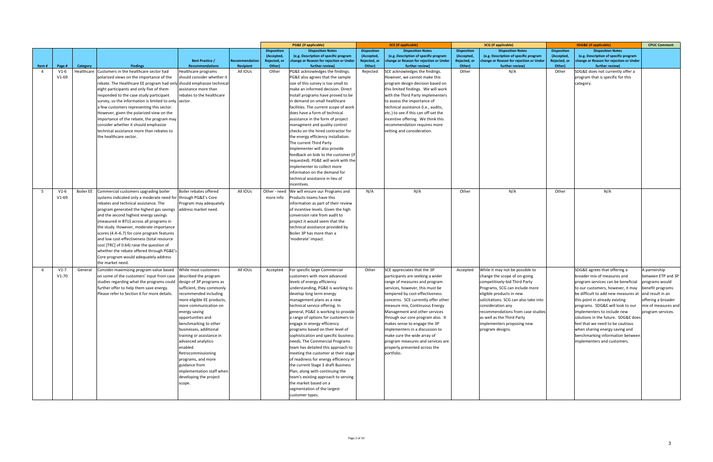|                |         |            |                                                                                          |                                                  |                             |                        | <b>PG&amp;E</b> (if applicable)                                      |                        | <b>SCE</b> (if applicable)                                        |                        | <b>SCG</b> (if applicable)                                |                        | <b>SDG&amp;E (if applicable)</b>                                   | <b>CPUC Comment</b> |
|----------------|---------|------------|------------------------------------------------------------------------------------------|--------------------------------------------------|-----------------------------|------------------------|----------------------------------------------------------------------|------------------------|-------------------------------------------------------------------|------------------------|-----------------------------------------------------------|------------------------|--------------------------------------------------------------------|---------------------|
|                |         |            |                                                                                          |                                                  |                             | <b>Disposition</b>     | <b>Disposition Notes</b>                                             | <b>Disposition</b>     | <b>Disposition Notes</b>                                          | <b>Disposition</b>     | <b>Disposition Notes</b>                                  | <b>Disposition</b>     | <b>Disposition Notes</b>                                           |                     |
|                |         |            |                                                                                          |                                                  |                             | (Accepted,             | (e.g. Description of specific program                                | (Accepted,             | (e.g. Description of specific program                             | (Accepted              | (e.g. Description of specific program                     | (Accepted,             | (e.g. Description of specific program                              |                     |
| Item#          | Page #  | Category   | <b>Findings</b>                                                                          | <b>Best Practice /</b><br><b>Recommendations</b> | Recommendation<br>Recipient | Rejected, or<br>Other) | change or Reason for rejection or Under<br>further review)           | Rejected, or<br>Other) | change or Reason for rejection or Under<br>further review)        | Rejected, or<br>Other) | change or Reason for rejection or Unde<br>further review) | Rejected, or<br>Other) | change or Reason for rejection or Under<br>further review)         |                     |
| $\overline{a}$ | $V1-6$  | Healthcare | Customers in the healthcare sector had                                                   | Healthcare programs                              | All IOUs                    | Other                  | PG&E acknowledges the findings.                                      | Rejected               | SCE acknowledges the findings.                                    | Other                  | N/A                                                       | Other                  | SDG&E does not currently offer a                                   |                     |
|                | $V1-69$ |            | polarized views on the importance of the                                                 | should consider whether it                       |                             |                        | PG&E also agrees that the sample                                     |                        | However, we cannot make this                                      |                        |                                                           |                        | program that is specific for this                                  |                     |
|                |         |            | rebate. The Healthcare EE program had only should emphasize technical                    |                                                  |                             |                        | size of this survey is too small to                                  |                        | program design decision based on                                  |                        |                                                           |                        | category.                                                          |                     |
|                |         |            | eight participants and only five of them                                                 | assistance more than                             |                             |                        | make an informed decision. Direct                                    |                        | this limited findings. We will work                               |                        |                                                           |                        |                                                                    |                     |
|                |         |            | responded to the case study participant                                                  | rebates to the healthcare                        |                             |                        | Install programs have proved to be                                   |                        | with the Third Party implementers                                 |                        |                                                           |                        |                                                                    |                     |
|                |         |            | survey, so the information is limited to only sector.                                    |                                                  |                             |                        | in demand on small healthcare                                        |                        | to assess the importance of                                       |                        |                                                           |                        |                                                                    |                     |
|                |         |            | a few customers representing this sector.                                                |                                                  |                             |                        | facilities. The current scope of work                                |                        | technical assistance (i.e., audits,                               |                        |                                                           |                        |                                                                    |                     |
|                |         |            | However, given the polarized view on the                                                 |                                                  |                             |                        | does have a form of technical                                        |                        | etc.) to see if this can off-set the                              |                        |                                                           |                        |                                                                    |                     |
|                |         |            | importance of the rebate, the program may                                                |                                                  |                             |                        | assistance in the form of project                                    |                        | incentive offering. We think this                                 |                        |                                                           |                        |                                                                    |                     |
|                |         |            | consider whether it should emphasize                                                     |                                                  |                             |                        | managment and quality control                                        |                        | recommendation requires more                                      |                        |                                                           |                        |                                                                    |                     |
|                |         |            | technical assistance more than rebates to                                                |                                                  |                             |                        | checks on the hired contractor for                                   |                        | vetting and consideration.                                        |                        |                                                           |                        |                                                                    |                     |
|                |         |            | the healthcare sector.                                                                   |                                                  |                             |                        | the energy efficiency installation.                                  |                        |                                                                   |                        |                                                           |                        |                                                                    |                     |
|                |         |            |                                                                                          |                                                  |                             |                        | The current Third Party                                              |                        |                                                                   |                        |                                                           |                        |                                                                    |                     |
|                |         |            |                                                                                          |                                                  |                             |                        | mplementer will also provide<br>feedback on bids to the customer (ii |                        |                                                                   |                        |                                                           |                        |                                                                    |                     |
|                |         |            |                                                                                          |                                                  |                             |                        | requested). PG&E will work with the                                  |                        |                                                                   |                        |                                                           |                        |                                                                    |                     |
|                |         |            |                                                                                          |                                                  |                             |                        | implementer to collect more                                          |                        |                                                                   |                        |                                                           |                        |                                                                    |                     |
|                |         |            |                                                                                          |                                                  |                             |                        | nformaton on the demand for                                          |                        |                                                                   |                        |                                                           |                        |                                                                    |                     |
|                |         |            |                                                                                          |                                                  |                             |                        | technical assistance in lieu of                                      |                        |                                                                   |                        |                                                           |                        |                                                                    |                     |
|                |         |            |                                                                                          |                                                  |                             |                        | ncentives.                                                           |                        |                                                                   |                        |                                                           |                        |                                                                    |                     |
| 5              | $V1-6$  |            | Boiler EE Commercial customers upgrading boiler                                          | Boiler rebates offered                           | All IOUs                    | Other - need           | We will ensure our Programs and                                      | N/A                    | N/A                                                               | Other                  | N/A                                                       | Other                  | N/A                                                                |                     |
|                | $V1-69$ |            | systems indicated only a moderate need for through PG&E's Core                           |                                                  |                             | more info              | Products teams have this                                             |                        |                                                                   |                        |                                                           |                        |                                                                    |                     |
|                |         |            | rebates and technical assistance. The                                                    | Program may adequately                           |                             |                        | information as part of their review                                  |                        |                                                                   |                        |                                                           |                        |                                                                    |                     |
|                |         |            | program generated the highest gas savings                                                | address market need.                             |                             |                        | of incentive levels. Given the high                                  |                        |                                                                   |                        |                                                           |                        |                                                                    |                     |
|                |         |            | and the second highest energy savings                                                    |                                                  |                             |                        | conversion rate from audit to                                        |                        |                                                                   |                        |                                                           |                        |                                                                    |                     |
|                |         |            | (measured in BTU) across all programs in                                                 |                                                  |                             |                        | project it would seem that the                                       |                        |                                                                   |                        |                                                           |                        |                                                                    |                     |
|                |         |            | the study. However, moderate importance                                                  |                                                  |                             |                        | technical assistance provided by                                     |                        |                                                                   |                        |                                                           |                        |                                                                    |                     |
|                |         |            | scores (4.4–6.7) for core program features<br>and low cost-effectiveness (total resource |                                                  |                             |                        | Boiler 3P has more than a<br>moderate' impact.                       |                        |                                                                   |                        |                                                           |                        |                                                                    |                     |
|                |         |            | cost [TRC] of 0.64) raise the question of                                                |                                                  |                             |                        |                                                                      |                        |                                                                   |                        |                                                           |                        |                                                                    |                     |
|                |         |            | whether the rebate offered through PG&E's                                                |                                                  |                             |                        |                                                                      |                        |                                                                   |                        |                                                           |                        |                                                                    |                     |
|                |         |            | Core program would adequately address                                                    |                                                  |                             |                        |                                                                      |                        |                                                                   |                        |                                                           |                        |                                                                    |                     |
|                |         |            | the market need.                                                                         |                                                  |                             |                        |                                                                      |                        |                                                                   |                        |                                                           |                        |                                                                    |                     |
| 6              | $V1-7$  | General    | Consider maximizing program value based                                                  | While most customers                             | All IOUs                    | Accepted               | For specific large Commercial                                        | Other                  | SCE appreciates that the 3P                                       | Accepted               | While it may not be possible to                           |                        | SDG&E agrees that offering a                                       | A parnership        |
|                | $V1-70$ |            | on some of the customers' input from case                                                | described the program                            |                             |                        | customers with more advanced                                         |                        | participants are seeking a wider                                  |                        | change the scope of on-going                              |                        | broader mix of measures and                                        | between ETP and 3P  |
|                |         |            | studies regarding what the programs could design of 3P programs as                       |                                                  |                             |                        | levels of energy efficiency                                          |                        | range of measures and program                                     |                        | competitively-bid Third Party                             |                        | program services can be beneficial                                 | programs would      |
|                |         |            | further offer to help them save energy.                                                  | sufficient, they commonly                        |                             |                        | understanding, PG&E is working to                                    |                        | services, however, this must be                                   |                        | Programs, SCG can include more                            |                        | to our customers, however, it may                                  | benefit programs    |
|                |         |            | Please refer to Section 6 for more details.                                              | recommended including                            |                             |                        | develop long term energy                                             |                        | tempered by cost-effectiveness                                    |                        | eligible products in new                                  |                        | be difficult to add new measures at                                | and result in an    |
|                |         |            |                                                                                          | more eligible EE products,                       |                             |                        | management plans as a new                                            |                        | concerns. SCE currently offer other                               |                        | solicitations. SCG can also take into                     |                        | this point in already existing                                     | offering a broader  |
|                |         |            |                                                                                          | more communication on                            |                             |                        | technical service offering. In                                       |                        | measure mix, Continuous Energy                                    |                        | consideration any                                         |                        | programs. SDG&E will look to our                                   | mix of measures and |
|                |         |            |                                                                                          | energy saving                                    |                             |                        | general, PG&E is working to provide                                  |                        | Management and other services                                     |                        | recommendations from case studies                         |                        | implementers to include new                                        | program services.   |
|                |         |            |                                                                                          | opportunities and<br>benchmarking to other       |                             |                        | a range of options for customers to                                  |                        | through our core program also. It<br>makes sense to engage the 3P |                        | as well as the Third Party                                |                        | solutions in the future. SDG&E does                                |                     |
|                |         |            |                                                                                          | businesses, additional                           |                             |                        | engage in energy efficiency<br>programs based on their level of      |                        | implementers in a discussion to                                   |                        | implementers proposing new<br>program designs.            |                        | feel that we need to be cautious<br>when sharing energy saving and |                     |
|                |         |            |                                                                                          | training or assistance in                        |                             |                        | sophistication and specific business                                 |                        | make sure the wide array of                                       |                        |                                                           |                        | benchmarking information between                                   |                     |
|                |         |            |                                                                                          | advanced analytics-                              |                             |                        | needs. The Commercial Programs                                       |                        | program measures and services are                                 |                        |                                                           |                        | implementers and customers.                                        |                     |
|                |         |            |                                                                                          | enabled                                          |                             |                        | team has detailed this approach to                                   |                        | properly presented across the                                     |                        |                                                           |                        |                                                                    |                     |
|                |         |            |                                                                                          | Retrocommissioning                               |                             |                        | meeting the customer at their stage                                  |                        | portfolio.                                                        |                        |                                                           |                        |                                                                    |                     |
|                |         |            |                                                                                          | programs, and more                               |                             |                        | of readiness for energy efficiency in                                |                        |                                                                   |                        |                                                           |                        |                                                                    |                     |
|                |         |            |                                                                                          | guidance from                                    |                             |                        | the current Stage 3 draft Business                                   |                        |                                                                   |                        |                                                           |                        |                                                                    |                     |
|                |         |            |                                                                                          | implementation staff when                        |                             |                        | Plan, along with continuing the                                      |                        |                                                                   |                        |                                                           |                        |                                                                    |                     |
|                |         |            |                                                                                          | developing the project                           |                             |                        | team's existing approach to serving                                  |                        |                                                                   |                        |                                                           |                        |                                                                    |                     |
|                |         |            |                                                                                          | scope.                                           |                             |                        | the market based on a                                                |                        |                                                                   |                        |                                                           |                        |                                                                    |                     |
|                |         |            |                                                                                          |                                                  |                             |                        | segmentation of the largest                                          |                        |                                                                   |                        |                                                           |                        |                                                                    |                     |
|                |         |            |                                                                                          |                                                  |                             |                        | customer types.                                                      |                        |                                                                   |                        |                                                           |                        |                                                                    |                     |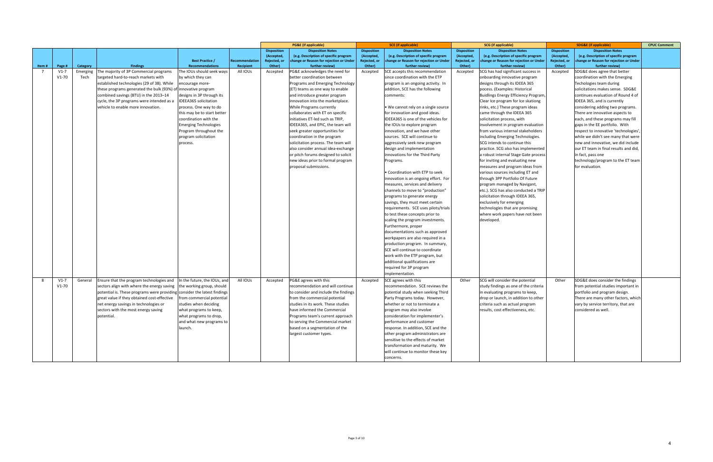|       |         |          |                                                                          |                              |                |                    | <b>PG&amp;E</b> (if applicable)         |                    | <b>SCE</b> (if applicable)              |                    | <b>SCG</b> (if applicable)             |                    | <b>SDG&amp;E</b> (if applicable)        | <b>CPUC Comment</b> |
|-------|---------|----------|--------------------------------------------------------------------------|------------------------------|----------------|--------------------|-----------------------------------------|--------------------|-----------------------------------------|--------------------|----------------------------------------|--------------------|-----------------------------------------|---------------------|
|       |         |          |                                                                          |                              |                | <b>Disposition</b> | <b>Disposition Notes</b>                | <b>Disposition</b> | <b>Disposition Notes</b>                | <b>Disposition</b> | <b>Disposition Notes</b>               | <b>Disposition</b> | <b>Disposition Notes</b>                |                     |
|       |         |          |                                                                          |                              |                | (Accepted,         | (e.g. Description of specific program   | (Accepted          | (e.g. Description of specific program   | (Accepted          | (e.g. Description of specific program  | (Accepted,         | (e.g. Description of specific program   |                     |
|       |         |          |                                                                          | <b>Best Practice /</b>       | Recommendation | Rejected, or       | change or Reason for rejection or Under | Rejected, or       | change or Reason for rejection or Under | Rejected, or       | change or Reason for rejection or Unde | Rejected, or       | change or Reason for rejection or Under |                     |
| Item# | Page #  | Category | <b>Findings</b>                                                          | <b>Recommendations</b>       | Recipient      | Other)             | further review)                         | Other)             | further review)                         | Other)             | further review)                        | Other)             | further review)                         |                     |
|       | $V1-7$  | Emerging | The majority of 3P Commercial programs                                   | The IOUs should seek ways    | All IOUs       | Accepted           | PG&E acknowledges the need for          | Accepted           | SCE accepts this recommendation         | Accepted           | SCG has had significant success in     | Accepted           | SDG&E does agree that better            |                     |
|       | $V1-70$ | Tech     | targeted hard-to-reach markets with                                      | by which they can            |                |                    | better coordination between             |                    | since coordination with the ETP         |                    | onboarding innovative program          |                    | coordination with the Emerging          |                     |
|       |         |          | established technologies (29 of 38). While                               | encourage more-              |                |                    | Programs and Emerging Technology        |                    | program is an ongoing activity. In      |                    | designs through its IDEEA 365          |                    | Techologies team during                 |                     |
|       |         |          | these programs generated the bulk (93%) of innovative program            |                              |                |                    | (ET) teams as one way to enable         |                    | addition, SCE has the following         |                    | pocess. (Examples: Historical          |                    | solicitations makes sense. SDG&E        |                     |
|       |         |          | combined savings (BTU) in the 2013-14                                    | designs in 3P through its    |                |                    | and introduce greater program           |                    | comments:                               |                    | Buidlings Energy Efficiency Program,   |                    | continues evaluation of Round 4 of      |                     |
|       |         |          | cycle, the 3P programs were intended as a                                | <b>IDEEA365</b> solicitation |                |                    | innovation into the marketplace.        |                    |                                         |                    | Clear Ice program for Ice skationg     |                    | IDEEA 365, and is currently             |                     |
|       |         |          | vehicle to enable more innovation.                                       | process. One way to do       |                |                    | While Programs currently                |                    | . We cannot rely on a single source     |                    | rinks, etc.) These program ideas       |                    | considering adding two programs.        |                     |
|       |         |          |                                                                          | this may be to start better  |                |                    | collaborates with ET on specific        |                    | for innovation and good ideas.          |                    | came through the IDEEA 365             |                    | There are innovative aspects to         |                     |
|       |         |          |                                                                          | coordination with the        |                |                    | initiatives ET-led such as TRIP,        |                    | IDEEA365 is one of the vehicles for     |                    | solicitation process, with             |                    | each, and these programs may fill       |                     |
|       |         |          |                                                                          | <b>Emerging Technologies</b> |                |                    | IDEEA365, and EPIC, the team will       |                    | the IOUs to explore program             |                    | involvement in program evaluation      |                    | gaps in the EE portfolio. With          |                     |
|       |         |          |                                                                          | Program throughout the       |                |                    | seek greater opportunities for          |                    | innovation, and we have other           |                    | from various internal stakeholders     |                    | respect to innovative 'technologies',   |                     |
|       |         |          |                                                                          | program solicitation         |                |                    | coordination in the program             |                    | sources. SCE will continue to           |                    | including Emerging Technologies.       |                    | while we didn't see many that were      |                     |
|       |         |          |                                                                          | process.                     |                |                    | solicitation process. The team will     |                    | aggressively seek new program           |                    | SCG intends to continue this           |                    | new and innovative, we did include      |                     |
|       |         |          |                                                                          |                              |                |                    | also consider annual idea-exchange      |                    | design and implementation               |                    | practice. SCG also has implemented     |                    | our ET team in final results and did    |                     |
|       |         |          |                                                                          |                              |                |                    | or pitch forums designed to solicit     |                    | innovations for the Third Party         |                    | a robust internal Stage Gate process   |                    | in fact, pass one                       |                     |
|       |         |          |                                                                          |                              |                |                    | new ideas prior to formal program       |                    | Programs.                               |                    | for inviting and evaluating new        |                    | technology/program to the ET team       |                     |
|       |         |          |                                                                          |                              |                |                    | proposal submissions.                   |                    |                                         |                    | measures and program ideas from        |                    | for evaluation.                         |                     |
|       |         |          |                                                                          |                              |                |                    |                                         |                    | Coordination with ETP to seek           |                    | various sources including ET and       |                    |                                         |                     |
|       |         |          |                                                                          |                              |                |                    |                                         |                    | innovation is an ongoing effort. For    |                    | through 3PP Portfolio Of Future        |                    |                                         |                     |
|       |         |          |                                                                          |                              |                |                    |                                         |                    | measures, services and delivery         |                    | program managed by Navigant,           |                    |                                         |                     |
|       |         |          |                                                                          |                              |                |                    |                                         |                    | channels to move to "production"        |                    | etc.). SCG has also conducted a TRIF   |                    |                                         |                     |
|       |         |          |                                                                          |                              |                |                    |                                         |                    | programs to generate energy             |                    | solicitation through IDEEA 365,        |                    |                                         |                     |
|       |         |          |                                                                          |                              |                |                    |                                         |                    | savings, they must meet certain         |                    | exclusively for emerging               |                    |                                         |                     |
|       |         |          |                                                                          |                              |                |                    |                                         |                    | requirements. SCE uses pilots/trials    |                    | technologies that are promising        |                    |                                         |                     |
|       |         |          |                                                                          |                              |                |                    |                                         |                    | to test these concepts prior to         |                    | where work papers have not been        |                    |                                         |                     |
|       |         |          |                                                                          |                              |                |                    |                                         |                    | scaling the program investments.        |                    | developed                              |                    |                                         |                     |
|       |         |          |                                                                          |                              |                |                    |                                         |                    | Furthermore, proper                     |                    |                                        |                    |                                         |                     |
|       |         |          |                                                                          |                              |                |                    |                                         |                    | documentations such as approved         |                    |                                        |                    |                                         |                     |
|       |         |          |                                                                          |                              |                |                    |                                         |                    | workpapers are also required in a       |                    |                                        |                    |                                         |                     |
|       |         |          |                                                                          |                              |                |                    |                                         |                    | production program. In summary,         |                    |                                        |                    |                                         |                     |
|       |         |          |                                                                          |                              |                |                    |                                         |                    | SCE will continue to coordinate         |                    |                                        |                    |                                         |                     |
|       |         |          |                                                                          |                              |                |                    |                                         |                    | work with the ETP program, but          |                    |                                        |                    |                                         |                     |
|       |         |          |                                                                          |                              |                |                    |                                         |                    | additional qualifications are           |                    |                                        |                    |                                         |                     |
|       |         |          |                                                                          |                              |                |                    |                                         |                    | required for 3P program                 |                    |                                        |                    |                                         |                     |
|       |         |          |                                                                          |                              |                |                    |                                         |                    | implementation.                         |                    |                                        |                    |                                         |                     |
| - 8   | $V1-7$  | General  | Ensure that the program technologies and In the future, the IOUs, and    |                              | All IOUs       | Accepted           | PG&E agrees with this                   | Accepted           | SCE agrees with this                    | Other              | SCG will consider the potential        | Other              | SDG&E does consider the findings        |                     |
|       | $V1-70$ |          | sectors align with where the energy saving   the working group, should   |                              |                |                    | recommendation and will continue        |                    | recommendation. SCE reviews the         |                    | study findings as one of the criteria  |                    | from potential studies important in     |                     |
|       |         |          | potential is. These programs were providing consider the latest findings |                              |                |                    | to consider and include the findings    |                    | potential study when seeking Third      |                    | in evaluating programs to keep,        |                    | portfolio and program design.           |                     |
|       |         |          | great value if they obtained cost-effective   from commercial potential  |                              |                |                    | from the commercial potential           |                    | Party Programs today. However,          |                    | drop or launch, in addition to other   |                    | There are many other factors, which     |                     |
|       |         |          | net energy savings in technologies or                                    | studies when deciding        |                |                    | studies in its work. These studies      |                    | whether or not to terminate a           |                    | criteria such as actual program        |                    | vary by service territory, that are     |                     |
|       |         |          | sectors with the most energy saving                                      | what programs to keep,       |                |                    | have informed the Commercial            |                    | program may also involve                |                    | results, cost effectiveness, etc.      |                    | considered as well.                     |                     |
|       |         |          | potential.                                                               | what programs to drop,       |                |                    | Programs team's current approach        |                    | consideration for implementer's         |                    |                                        |                    |                                         |                     |
|       |         |          |                                                                          | and what new programs to     |                |                    | to serving the Commercial market        |                    | performance and customer                |                    |                                        |                    |                                         |                     |
|       |         |          |                                                                          | launch.                      |                |                    | based on a segmentation of the          |                    | response. In addition, SCE and the      |                    |                                        |                    |                                         |                     |
|       |         |          |                                                                          |                              |                |                    | largest customer types.                 |                    | other program administrators are        |                    |                                        |                    |                                         |                     |
|       |         |          |                                                                          |                              |                |                    |                                         |                    | sensitive to the effects of market      |                    |                                        |                    |                                         |                     |
|       |         |          |                                                                          |                              |                |                    |                                         |                    | transformation and maturity. We         |                    |                                        |                    |                                         |                     |
|       |         |          |                                                                          |                              |                |                    |                                         |                    | will continue to monitor these key      |                    |                                        |                    |                                         |                     |
|       |         |          |                                                                          |                              |                |                    |                                         |                    | concerns.                               |                    |                                        |                    |                                         |                     |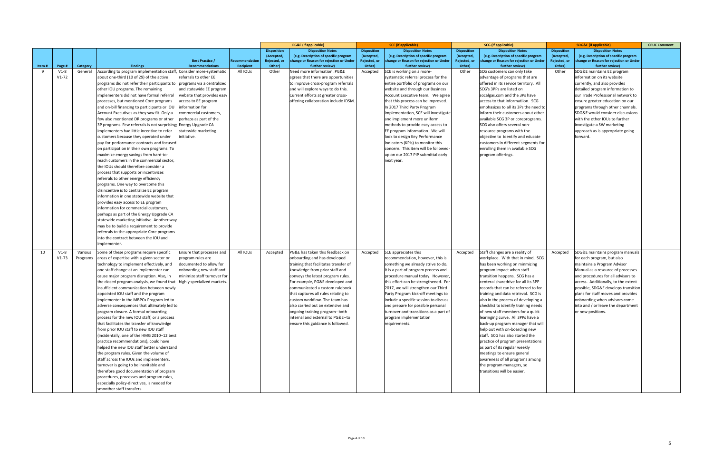|       |         |          |                                                                          |                             |               |                    | <b>PG&amp;E</b> (if applicable)         |                    | <b>SCE</b> (if applicable)             |                    | <b>SCG</b> (if applicable)              |                    | <b>SDG&amp;E</b> (if applicable)        | <b>CPUC Comment</b> |
|-------|---------|----------|--------------------------------------------------------------------------|-----------------------------|---------------|--------------------|-----------------------------------------|--------------------|----------------------------------------|--------------------|-----------------------------------------|--------------------|-----------------------------------------|---------------------|
|       |         |          |                                                                          |                             |               | <b>Disposition</b> | <b>Disposition Notes</b>                | <b>Disposition</b> | <b>Disposition Notes</b>               | <b>Disposition</b> | <b>Disposition Notes</b>                | <b>Disposition</b> | <b>Disposition Notes</b>                |                     |
|       |         |          |                                                                          |                             |               | (Accepted          | (e.g. Description of specific program   | (Accepted,         | (e.g. Description of specific program  | (Accepted,         | (e.g. Description of specific program   | (Accepted,         | (e.g. Description of specific program   |                     |
|       |         |          |                                                                          | <b>Best Practice /</b>      | Recommendatio | Rejected, or       | change or Reason for rejection or Under | Rejected, or       | change or Reason for rejection or Unde | Rejected, or       | change or Reason for rejection or Under | Rejected, or       | change or Reason for rejection or Under |                     |
| Item# | Page #  | Category | <b>Findings</b>                                                          | Recommendations             | Recipient     | Other <sup>'</sup> | further review)                         | Other)             | further review)                        | Other)             | further review)                         | Other)             | further review)                         |                     |
| 9     | $V1-8$  | General  | According to program implementation staff, Consider more-systematic      |                             | All IOUs      | Other              | Need more information. PG&E             | Accepted           | SCE is working on a more-              | Other              | SCG customers can only take             | Other              | SDG&E maintains EE program              |                     |
|       | $V1-72$ |          | about one-third (10 of 29) of the active                                 | referrals to other EE       |               |                    | agrees that there are opportunities     |                    | systematic referral process for the    |                    | advantage of programs that are          |                    | information on its website              |                     |
|       |         |          | programs did not refer their participants to programs via a centralized  |                             |               |                    | to improve cross-program referrals      |                    | entire portfolio of programs on our    |                    | offered in its service territory. All   |                    | currently, and also provides            |                     |
|       |         |          | other IOU programs. The remaining                                        | and statewide EE program    |               |                    | and will explore ways to do this.       |                    | website and through our Business       |                    | SCG's 3PPs are listed on                |                    | detailed program information to         |                     |
|       |         |          | implementers did not have formal referral                                | website that provides easy  |               |                    | Current efforts at greater cross-       |                    | Account Executive team. We agree       |                    | socalgas.com and the 3Ps have           |                    | our Trade Professional network to       |                     |
|       |         |          | processes, but mentioned Core programs                                   | access to EE program        |               |                    | offering collaboration include IDSM.    |                    | that this process can be improved.     |                    | access to that informatiion. SCG        |                    | ensure greater education on our         |                     |
|       |         |          | and on-bill financing to participants or IOU                             | information for             |               |                    |                                         |                    | In 2017 Third Party Program            |                    | emphasizes to all its 3Ps the need to   |                    | programs through other channels.        |                     |
|       |         |          | Account Executives as they saw fit. Only a                               | commercial customers,       |               |                    |                                         |                    | implementation, SCE will investigate   |                    | inform their customers about other      |                    | SDG&E would consider discussions        |                     |
|       |         |          | few also mentioned DR programs or other                                  | perhaps as part of the      |               |                    |                                         |                    | and implement more uniform             |                    | available SCG 3P or coreprograms.       |                    | with the other IOUs to further          |                     |
|       |         |          |                                                                          |                             |               |                    |                                         |                    |                                        |                    | SCG also offers several non-            |                    | investigate a SW marketing              |                     |
|       |         |          | 3P programs. Few referrals is not surprising; Energy Upgrade CA          |                             |               |                    |                                         |                    | methods to provide easy access to      |                    |                                         |                    |                                         |                     |
|       |         |          | implementers had little incentive to refer                               | statewide marketing         |               |                    |                                         |                    | EE program information. We will        |                    | resource programs with the              |                    | approach as is appropriate going        |                     |
|       |         |          | customers because they operated under                                    | initiative.                 |               |                    |                                         |                    | look to design Key Performance         |                    | objective to identify and educate       |                    | forward.                                |                     |
|       |         |          | pay-for-performance contracts and focused                                |                             |               |                    |                                         |                    | Indicators (KPIs) to monitor this      |                    | customers in different segments for     |                    |                                         |                     |
|       |         |          | on participation in their own programs. To                               |                             |               |                    |                                         |                    | concern. This item will be followed-   |                    | enrolling them in available SCG         |                    |                                         |                     |
|       |         |          | maximize energy savings from hard-to-                                    |                             |               |                    |                                         |                    | up on our 2017 PIP submittal early     |                    | program offerings.                      |                    |                                         |                     |
|       |         |          | reach customers in the commercial sector,                                |                             |               |                    |                                         |                    | next year.                             |                    |                                         |                    |                                         |                     |
|       |         |          | the IOUs should therefore consider a                                     |                             |               |                    |                                         |                    |                                        |                    |                                         |                    |                                         |                     |
|       |         |          | process that supports or incentivizes                                    |                             |               |                    |                                         |                    |                                        |                    |                                         |                    |                                         |                     |
|       |         |          | referrals to other energy efficiency                                     |                             |               |                    |                                         |                    |                                        |                    |                                         |                    |                                         |                     |
|       |         |          | programs. One way to overcome this                                       |                             |               |                    |                                         |                    |                                        |                    |                                         |                    |                                         |                     |
|       |         |          | disincentive is to centralize EE program                                 |                             |               |                    |                                         |                    |                                        |                    |                                         |                    |                                         |                     |
|       |         |          | information in one statewide website that                                |                             |               |                    |                                         |                    |                                        |                    |                                         |                    |                                         |                     |
|       |         |          | provides easy access to EE program                                       |                             |               |                    |                                         |                    |                                        |                    |                                         |                    |                                         |                     |
|       |         |          | information for commercial customers.                                    |                             |               |                    |                                         |                    |                                        |                    |                                         |                    |                                         |                     |
|       |         |          | perhaps as part of the Energy Upgrade CA                                 |                             |               |                    |                                         |                    |                                        |                    |                                         |                    |                                         |                     |
|       |         |          |                                                                          |                             |               |                    |                                         |                    |                                        |                    |                                         |                    |                                         |                     |
|       |         |          | statewide marketing initiative. Another way                              |                             |               |                    |                                         |                    |                                        |                    |                                         |                    |                                         |                     |
|       |         |          | may be to build a requirement to provide                                 |                             |               |                    |                                         |                    |                                        |                    |                                         |                    |                                         |                     |
|       |         |          | referrals to the appropriate Core programs                               |                             |               |                    |                                         |                    |                                        |                    |                                         |                    |                                         |                     |
|       |         |          | into the contract between the IOU and                                    |                             |               |                    |                                         |                    |                                        |                    |                                         |                    |                                         |                     |
|       |         |          | mplementer.                                                              |                             |               |                    |                                         |                    |                                        |                    |                                         |                    |                                         |                     |
| 10    | $V1-8$  | Various  | Some of these programs require specific                                  | Ensure that processes and   | All IOUs      | Accepted           | PG&E has taken this feedback on         | Accepted           | SCE appreciates this                   | Accepted           | Staff changes are a reality of          | Accepted           | SDG&E maintains program manuals         |                     |
|       | $V1-73$ | Programs | areas of expertise with a given sector or                                | program rules are           |               |                    | onboarding and has developed            |                    | recommendation, however, this is       |                    | workplace. With that in mind, SCG       |                    | for each program, but also              |                     |
|       |         |          | technology to implement effectively, and                                 | documented to allow for     |               |                    | training that facilitates transfer of   |                    | something we already strive to do.     |                    | has been working on minmizing           |                    | maintains a Program Advisor             |                     |
|       |         |          | one staff change at an implementer can                                   | onboarding new staff and    |               |                    | knowledge from prior staff and          |                    | It is a part of program process and    |                    | program impact when staff               |                    | Manual as a resource of processes       |                     |
|       |         |          | cause major program disruption. Also, in                                 | minimize staff turnover for |               |                    | conveys the latest program rules.       |                    | procedure manual today. However        |                    | transition happens. SCG has a           |                    | and procedures for all advisors to      |                     |
|       |         |          |                                                                          |                             |               |                    |                                         |                    |                                        |                    | centeral sharedrive for all its 3PP     |                    |                                         |                     |
|       |         |          | the closed program analysis, we found that   highly specialized markets. |                             |               |                    | For example, PG&E developed and         |                    | this effort can be strengthened. For   |                    | records that can be referred to for     |                    | access. Additionally, to the extent     |                     |
|       |         |          | insufficient communication between newly                                 |                             |               |                    | communicated a custom rulebook          |                    | 2017, we will strengthen our Third     |                    |                                         |                    | possible, SDG&E develops transition     |                     |
|       |         |          | appointed IOU staff and the program                                      |                             |               |                    | that captures all rules relating to     |                    | Party Program kick-off meetings to     |                    | training and data retrieval. SCG is     |                    | plans for staff moves and provides      |                     |
|       |         |          | implementer in the MBPCx Program led to                                  |                             |               |                    | custom workflow. The team has           |                    | include a specific session to discuss  |                    | also in the process of developing a     |                    | onboarding when advisors come           |                     |
|       |         |          | adverse consequences that ultimately led to                              |                             |               |                    | also carried out an extensive and       |                    | and prepare for possible personal      |                    | checklist to identify training needs    |                    | into and / or leave the department      |                     |
|       |         |          | program closure. A formal onboarding                                     |                             |               |                    | ongoing training program--both          |                    | turnover and transitions as a part of  |                    | of new staff members for a quick        |                    | or new positions.                       |                     |
|       |         |          | process for the new IOU staff, or a process                              |                             |               |                    | internal and external to PG&E--to       |                    | program implementation                 |                    | learinging curve. All 3PPs have a       |                    |                                         |                     |
|       |         |          | that facilitates the transfer of knowledge                               |                             |               |                    | ensure this guidance is followed.       |                    | requirements.                          |                    | back-up program manager that will       |                    |                                         |                     |
|       |         |          | from prior IOU staff to new IOU staff                                    |                             |               |                    |                                         |                    |                                        |                    | help out with on-boarding new           |                    |                                         |                     |
|       |         |          | (incidentally, one of the HMG 2010-12 best                               |                             |               |                    |                                         |                    |                                        |                    | staff. SCG has also started the         |                    |                                         |                     |
|       |         |          | practice recommendations), could have                                    |                             |               |                    |                                         |                    |                                        |                    | practice of program presentations       |                    |                                         |                     |
|       |         |          | helped the new IOU staff better understand                               |                             |               |                    |                                         |                    |                                        |                    | as part of its regular weekly           |                    |                                         |                     |
|       |         |          | the program rules. Given the volume of                                   |                             |               |                    |                                         |                    |                                        |                    | meetings to ensure general              |                    |                                         |                     |
|       |         |          | staff across the IOUs and implementers,                                  |                             |               |                    |                                         |                    |                                        |                    | awareness of all programs among         |                    |                                         |                     |
|       |         |          | turnover is going to be inevitable and                                   |                             |               |                    |                                         |                    |                                        |                    | the program managers, so                |                    |                                         |                     |
|       |         |          | therefore good documentation of program                                  |                             |               |                    |                                         |                    |                                        |                    | transitions will be easier.             |                    |                                         |                     |
|       |         |          |                                                                          |                             |               |                    |                                         |                    |                                        |                    |                                         |                    |                                         |                     |
|       |         |          | procedures, processes and program rules,                                 |                             |               |                    |                                         |                    |                                        |                    |                                         |                    |                                         |                     |
|       |         |          | especially policy-directives, is needed for                              |                             |               |                    |                                         |                    |                                        |                    |                                         |                    |                                         |                     |
|       |         |          | smoother staff transfers.                                                |                             |               |                    |                                         |                    |                                        |                    |                                         |                    |                                         |                     |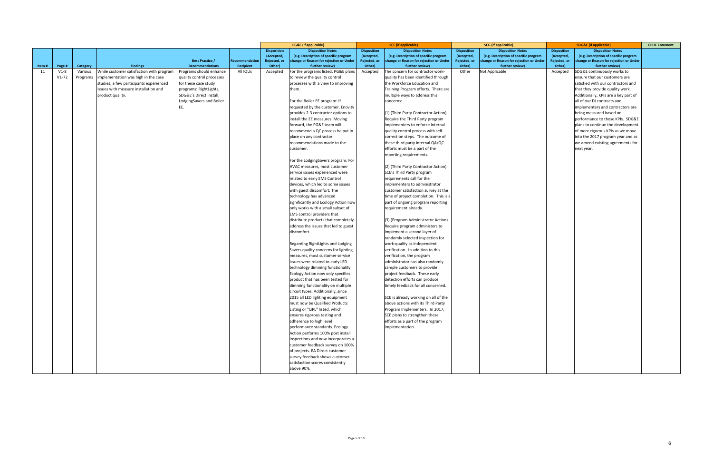|       |         |          |                                          |                           |                |                    | <b>PG&amp;E</b> (if applicable)         |                    | <b>SCE</b> (if applicable)              |                    | <b>SCG</b> (if applicable)              |                    | <b>SDG&amp;E (if applicable)</b>        | <b>CPUC Comment</b> |
|-------|---------|----------|------------------------------------------|---------------------------|----------------|--------------------|-----------------------------------------|--------------------|-----------------------------------------|--------------------|-----------------------------------------|--------------------|-----------------------------------------|---------------------|
|       |         |          |                                          |                           |                | <b>Disposition</b> | <b>Disposition Notes</b>                | <b>Disposition</b> | <b>Disposition Notes</b>                | <b>Disposition</b> | <b>Disposition Notes</b>                | <b>Disposition</b> | <b>Disposition Notes</b>                |                     |
|       |         |          |                                          |                           |                | (Accepted,         | (e.g. Description of specific program   | (Accepted,         | (e.g. Description of specific program   | (Accepted,         | (e.g. Description of specific program   | (Accepted,         | (e.g. Description of specific program   |                     |
|       |         |          |                                          | <b>Best Practice /</b>    | Recommendation | Rejected, or       | change or Reason for rejection or Under | Rejected, or       | change or Reason for rejection or Under | Rejected, or       | change or Reason for rejection or Under | Rejected, or       | change or Reason for rejection or Under |                     |
| Item# | Page #  | Category | <b>Findings</b>                          | <b>Recommendations</b>    | Recipient      | Other)             | further review)                         | Other)             | further review)                         | Other)             | further review)                         | Other)             | further review)                         |                     |
| 11    | $V1-8$  | Various  | While customer satisfaction with program | Programs should enhance   | All IOUs       | Accepted           | For the programs listed, PG&E plans     | Accepted           | The concern for contractor work-        | Other              | Not Applicable                          | Accepted           | SDG&E continuously works to             |                     |
|       | $V1-72$ | Programs | implementation was high in the case      | quality control processes |                |                    | to review the quality control           |                    | quality has been identified through     |                    |                                         |                    | ensure that our customers are           |                     |
|       |         |          | studies, a few participants experienced  | for these case study      |                |                    | processes with a view to improving      |                    | the Workforce Education and             |                    |                                         |                    | satisfied with our contractors and      |                     |
|       |         |          | issues with measure installation and     | programs: RightLights,    |                |                    | them.                                   |                    | Training Program efforts. There are     |                    |                                         |                    | that they provide quality work.         |                     |
|       |         |          | product quality.                         | SDG&E's Direct Install,   |                |                    |                                         |                    | multiple ways to address this           |                    |                                         |                    | Additionally, KPIs are a key part of    |                     |
|       |         |          |                                          | LodgingSavers and Boiler  |                |                    | For the Boiler EE program: If           |                    | concerns:                               |                    |                                         |                    | all of our DI contracts and             |                     |
|       |         |          |                                          |                           |                |                    | requested by the customer, Enovity      |                    |                                         |                    |                                         |                    | implementers and contractors are        |                     |
|       |         |          |                                          |                           |                |                    | provides 2-3 contractor options to      |                    | (1) (Third Party Contractor Action)     |                    |                                         |                    | being measured based on                 |                     |
|       |         |          |                                          |                           |                |                    | install the EE measures. Moving         |                    | Require the Third Party program         |                    |                                         |                    | performance to those KPIs. SDG&E        |                     |
|       |         |          |                                          |                           |                |                    | forward, the PG&E team will             |                    | implementers to enforce internal        |                    |                                         |                    | plans to continue the development       |                     |
|       |         |          |                                          |                           |                |                    | recommend a QC process be put in        |                    | quality control process with self-      |                    |                                         |                    | of more rigorous KPIs as we move        |                     |
|       |         |          |                                          |                           |                |                    | place on any contractor                 |                    | correction steps. The outcome of        |                    |                                         |                    | into the 2017 program year and as       |                     |
|       |         |          |                                          |                           |                |                    | recommendations made to the             |                    | these third party internal QA/QC        |                    |                                         |                    | we amend existing agreements for        |                     |
|       |         |          |                                          |                           |                |                    | customer.                               |                    | efforts must be a part of the           |                    |                                         |                    | next year.                              |                     |
|       |         |          |                                          |                           |                |                    |                                         |                    | reporting requirements.                 |                    |                                         |                    |                                         |                     |
|       |         |          |                                          |                           |                |                    | For the LodgingSavers program: For      |                    |                                         |                    |                                         |                    |                                         |                     |
|       |         |          |                                          |                           |                |                    | HVAC measures, most customer            |                    | (2) (Third Party Contractor Action)     |                    |                                         |                    |                                         |                     |
|       |         |          |                                          |                           |                |                    | service issues experienced were         |                    | SCE's Third Party program               |                    |                                         |                    |                                         |                     |
|       |         |          |                                          |                           |                |                    | related to early EMS Control            |                    | requirements call for the               |                    |                                         |                    |                                         |                     |
|       |         |          |                                          |                           |                |                    | devices, which led to some issues       |                    | implementers to administrator           |                    |                                         |                    |                                         |                     |
|       |         |          |                                          |                           |                |                    | with guest discomfort. The              |                    | customer satisfaction survey at the     |                    |                                         |                    |                                         |                     |
|       |         |          |                                          |                           |                |                    | technology has advanced                 |                    | time of project completion. This is a   |                    |                                         |                    |                                         |                     |
|       |         |          |                                          |                           |                |                    | significantly and Ecology Action now    |                    | part of ongoing program reporting       |                    |                                         |                    |                                         |                     |
|       |         |          |                                          |                           |                |                    | only works with a small subset of       |                    | requirement already.                    |                    |                                         |                    |                                         |                     |
|       |         |          |                                          |                           |                |                    | EMS control providers that              |                    |                                         |                    |                                         |                    |                                         |                     |
|       |         |          |                                          |                           |                |                    | distribute products that completely     |                    | (3) (Program Administrator Action)      |                    |                                         |                    |                                         |                     |
|       |         |          |                                          |                           |                |                    | address the issues that led to guest    |                    | Require program administers to          |                    |                                         |                    |                                         |                     |
|       |         |          |                                          |                           |                |                    | discomfort.                             |                    | implement a second layer of             |                    |                                         |                    |                                         |                     |
|       |         |          |                                          |                           |                |                    |                                         |                    | randomly selected inspection for        |                    |                                         |                    |                                         |                     |
|       |         |          |                                          |                           |                |                    | Regarding RightLights and Lodging       |                    | work-quality as independent             |                    |                                         |                    |                                         |                     |
|       |         |          |                                          |                           |                |                    | Savers quality concerns for lighting    |                    | verification. In addition to this       |                    |                                         |                    |                                         |                     |
|       |         |          |                                          |                           |                |                    | measures, most customer service         |                    | verification, the program               |                    |                                         |                    |                                         |                     |
|       |         |          |                                          |                           |                |                    | issues were related to early LED        |                    | administrator can also randomly         |                    |                                         |                    |                                         |                     |
|       |         |          |                                          |                           |                |                    | technology dimming functionality.       |                    | sample customers to provide             |                    |                                         |                    |                                         |                     |
|       |         |          |                                          |                           |                |                    | Ecology Action now only specifies       |                    | project feedback. These early           |                    |                                         |                    |                                         |                     |
|       |         |          |                                          |                           |                |                    | product that has been tested for        |                    | detection efforts can produce           |                    |                                         |                    |                                         |                     |
|       |         |          |                                          |                           |                |                    | dimming functionality on multiple       |                    | timely feedback for all concerned.      |                    |                                         |                    |                                         |                     |
|       |         |          |                                          |                           |                |                    | circuit types. Additionally, since      |                    |                                         |                    |                                         |                    |                                         |                     |
|       |         |          |                                          |                           |                |                    | 2015 all LED lighting equipment         |                    | SCE is already working on all of the    |                    |                                         |                    |                                         |                     |
|       |         |          |                                          |                           |                |                    | must now be Qualified Products          |                    | above actions with its Third Party      |                    |                                         |                    |                                         |                     |
|       |         |          |                                          |                           |                |                    | Listing or "QPL" listed, which          |                    | Program Implementers. In 2017,          |                    |                                         |                    |                                         |                     |
|       |         |          |                                          |                           |                |                    | ensures rigorous testing and            |                    | SCE plans to strengthen these           |                    |                                         |                    |                                         |                     |
|       |         |          |                                          |                           |                |                    | adherence to high level                 |                    | efforts as a part of the program        |                    |                                         |                    |                                         |                     |
|       |         |          |                                          |                           |                |                    | performance standards. Ecology          |                    | implementation.                         |                    |                                         |                    |                                         |                     |
|       |         |          |                                          |                           |                |                    | Action performs 100% post install       |                    |                                         |                    |                                         |                    |                                         |                     |
|       |         |          |                                          |                           |                |                    | inspections and now incorporates a      |                    |                                         |                    |                                         |                    |                                         |                     |
|       |         |          |                                          |                           |                |                    | customer feedback survey on 100%        |                    |                                         |                    |                                         |                    |                                         |                     |
|       |         |          |                                          |                           |                |                    | of projects. EA Direct customer         |                    |                                         |                    |                                         |                    |                                         |                     |
|       |         |          |                                          |                           |                |                    | survey feedback shows customer          |                    |                                         |                    |                                         |                    |                                         |                     |
|       |         |          |                                          |                           |                |                    | satisfaction scores consistently        |                    |                                         |                    |                                         |                    |                                         |                     |
|       |         |          |                                          |                           |                |                    | above 90%.                              |                    |                                         |                    |                                         |                    |                                         |                     |
|       |         |          |                                          |                           |                |                    |                                         |                    |                                         |                    |                                         |                    |                                         |                     |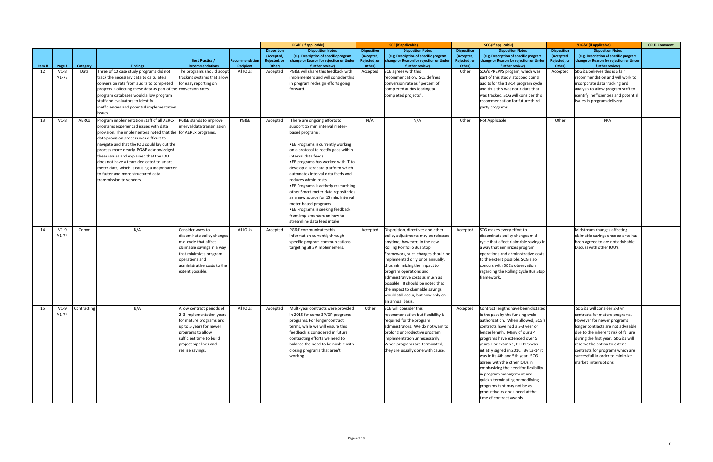|             |                  |                  |                                                                  |                                           |                             |                        | <b>PG&amp;E</b> (if applicable)                              |                        | <b>SCE</b> (if applicable)                                 |                        | <b>SCG</b> (if applicable)                                |                        | <b>SDG&amp;E</b> (if applicable)                           | <b>CPUC Comment</b> |
|-------------|------------------|------------------|------------------------------------------------------------------|-------------------------------------------|-----------------------------|------------------------|--------------------------------------------------------------|------------------------|------------------------------------------------------------|------------------------|-----------------------------------------------------------|------------------------|------------------------------------------------------------|---------------------|
|             |                  |                  |                                                                  |                                           |                             | <b>Disposition</b>     | <b>Disposition Notes</b>                                     | <b>Disposition</b>     | <b>Disposition Notes</b>                                   | <b>Disposition</b>     | <b>Disposition Notes</b>                                  | <b>Disposition</b>     | <b>Disposition Notes</b>                                   |                     |
|             |                  |                  |                                                                  |                                           |                             | (Accepted)             | (e.g. Description of specific program                        | (Accepted              | (e.g. Description of specific program                      | (Accepted,             | (e.g. Description of specific program                     | (Accepted,             | (e.g. Description of specific program                      |                     |
|             |                  |                  | <b>Findings</b>                                                  | <b>Best Practice /</b><br>Recommendations | Recommendation<br>Recipient | Rejected, or<br>Other) | change or Reason for rejection or Under<br>further review)   | Rejected, or<br>Other) | change or Reason for rejection or Under<br>further review) | Rejected, or<br>Other) | change or Reason for rejection or Unde<br>further review) | Rejected, or<br>Other) | change or Reason for rejection or Under<br>further review) |                     |
| Item#<br>12 | Page #<br>$V1-8$ | Category<br>Data | Three of 10 case study programs did not                          | The programs should adopt                 | All IOUs                    | Accepted               | PG&E will share this feedback with                           | Accepted               | SCE agrees with this                                       | Other                  | SCG's PREPPS progam, which was                            | Accepted               | SDG&E believes this is a fair                              |                     |
|             | $V1-73$          |                  | track the necessary data to calculate a                          | tracking systems that allow               |                             |                        | implementers and will consider this                          |                        | recommendation. SCE defines                                |                        | part of this study, stopped doing                         |                        | recommendation and will work to                            |                     |
|             |                  |                  | conversion rate from audits to completed                         | for easy reporting on                     |                             |                        | in program redesign efforts going                            |                        | conversion rate as "percent of                             |                        | audits for the 13-14 program cycle                        |                        | incorporate data tracking and                              |                     |
|             |                  |                  | projects. Collecting these data as part of the conversion rates. |                                           |                             |                        | forward.                                                     |                        | completed audits leading to                                |                        | and thus this was not a data that                         |                        | analysis to allow program staff to                         |                     |
|             |                  |                  | program databases would allow program                            |                                           |                             |                        |                                                              |                        | completed projects".                                       |                        | was tracked. SCG will consider this                       |                        | identify inefficiencies and potential                      |                     |
|             |                  |                  | staff and evaluators to identify                                 |                                           |                             |                        |                                                              |                        |                                                            |                        | recommendation for future third                           |                        | issues in program delivery.                                |                     |
|             |                  |                  | nefficiencies and potential implementation                       |                                           |                             |                        |                                                              |                        |                                                            |                        | party programs.                                           |                        |                                                            |                     |
|             |                  |                  | ssues.                                                           |                                           |                             |                        |                                                              |                        |                                                            |                        |                                                           |                        |                                                            |                     |
|             |                  |                  |                                                                  |                                           |                             |                        |                                                              |                        |                                                            |                        |                                                           |                        |                                                            |                     |
| 13          | $V1-8$           | AERCx            | Program implementation staff of all AERCx                        | PG&E stands to improve                    | PG&E                        | Accepted               | There are ongoing efforts to                                 | N/A                    | N/A                                                        | Other                  | Not Applicable                                            | Other                  | N/A                                                        |                     |
|             |                  |                  | programs experienced issues with data                            | interval data transmission                |                             |                        | support 15 min. interval meter-                              |                        |                                                            |                        |                                                           |                        |                                                            |                     |
|             |                  |                  | provision. The implementers noted that the for AERCx programs.   |                                           |                             |                        | based programs:                                              |                        |                                                            |                        |                                                           |                        |                                                            |                     |
|             |                  |                  | data provision process was difficult to                          |                                           |                             |                        |                                                              |                        |                                                            |                        |                                                           |                        |                                                            |                     |
|             |                  |                  | navigate and that the IOU could lay out the                      |                                           |                             |                        | .EE Programs is currently working                            |                        |                                                            |                        |                                                           |                        |                                                            |                     |
|             |                  |                  | process more clearly. PG&E acknowledged                          |                                           |                             |                        | on a protocol to rectify gaps within                         |                        |                                                            |                        |                                                           |                        |                                                            |                     |
|             |                  |                  | these issues and explained that the IOU                          |                                           |                             |                        | interval data feeds                                          |                        |                                                            |                        |                                                           |                        |                                                            |                     |
|             |                  |                  | does not have a team dedicated to smart                          |                                           |                             |                        | .EE programs has worked with IT to                           |                        |                                                            |                        |                                                           |                        |                                                            |                     |
|             |                  |                  | meter data, which is causing a major barrier                     |                                           |                             |                        | develop a Teradata platform which                            |                        |                                                            |                        |                                                           |                        |                                                            |                     |
|             |                  |                  | to faster and more structured data                               |                                           |                             |                        | automates interval data feeds and                            |                        |                                                            |                        |                                                           |                        |                                                            |                     |
|             |                  |                  | transmission to vendors.                                         |                                           |                             |                        | reduces admin costs                                          |                        |                                                            |                        |                                                           |                        |                                                            |                     |
|             |                  |                  |                                                                  |                                           |                             |                        | . EE Programs is actively researching                        |                        |                                                            |                        |                                                           |                        |                                                            |                     |
|             |                  |                  |                                                                  |                                           |                             |                        | other Smart meter data repositories                          |                        |                                                            |                        |                                                           |                        |                                                            |                     |
|             |                  |                  |                                                                  |                                           |                             |                        | as a new source for 15 min. interval<br>meter-based programs |                        |                                                            |                        |                                                           |                        |                                                            |                     |
|             |                  |                  |                                                                  |                                           |                             |                        | •EE Programs is seeking feedback                             |                        |                                                            |                        |                                                           |                        |                                                            |                     |
|             |                  |                  |                                                                  |                                           |                             |                        | from implementers on how to                                  |                        |                                                            |                        |                                                           |                        |                                                            |                     |
|             |                  |                  |                                                                  |                                           |                             |                        | streamline data feed intake                                  |                        |                                                            |                        |                                                           |                        |                                                            |                     |
|             |                  |                  |                                                                  |                                           |                             |                        |                                                              |                        |                                                            |                        |                                                           |                        |                                                            |                     |
| 14          | $V1-9$           | Comm             | N/A                                                              | Consider ways to                          | All IOUs                    | Accepted               | PG&E communicates this                                       | Accepted               | Disposition, directives and other                          | Accepted               | SCG makes every effort to                                 |                        | Midstream changes affecting                                |                     |
|             | $V1 - 74$        |                  |                                                                  | disseminate policy changes                |                             |                        | information currently through                                |                        | policy adjustments may be released                         |                        | disseminate policy changes mid-                           |                        | claimable savings once ex ante has                         |                     |
|             |                  |                  |                                                                  | mid-cycle that affect                     |                             |                        | specific program communications                              |                        | anytime; however, in the new                               |                        | cycle that affect claimable savings ir                    |                        | been agreed to are not advisable.                          |                     |
|             |                  |                  |                                                                  | claimable savings in a way                |                             |                        | targeting all 3P implementers.                               |                        | Rolling Portfolio Bus Stop                                 |                        | a way that minimizes program                              |                        | Discuss with other IOU's                                   |                     |
|             |                  |                  |                                                                  | that minimizes program                    |                             |                        |                                                              |                        | Framework, such changes should be                          |                        | operations and administrative costs                       |                        |                                                            |                     |
|             |                  |                  |                                                                  | operations and                            |                             |                        |                                                              |                        | implemented only once annually,                            |                        | to the extent possible. SCG also                          |                        |                                                            |                     |
|             |                  |                  |                                                                  | administrative costs to the               |                             |                        |                                                              |                        | thus minimizing the impact to                              |                        | concurs with SCE's observation                            |                        |                                                            |                     |
|             |                  |                  |                                                                  | extent possible.                          |                             |                        |                                                              |                        | program operations and                                     |                        | regarding the Rolling Cycle Bus Stop                      |                        |                                                            |                     |
|             |                  |                  |                                                                  |                                           |                             |                        |                                                              |                        | administrative costs as much as                            |                        | framework.                                                |                        |                                                            |                     |
|             |                  |                  |                                                                  |                                           |                             |                        |                                                              |                        | possible. It should be noted that                          |                        |                                                           |                        |                                                            |                     |
|             |                  |                  |                                                                  |                                           |                             |                        |                                                              |                        | the impact to claimable savings                            |                        |                                                           |                        |                                                            |                     |
|             |                  |                  |                                                                  |                                           |                             |                        |                                                              |                        | would still occur, but now only on                         |                        |                                                           |                        |                                                            |                     |
|             |                  |                  |                                                                  |                                           |                             |                        |                                                              |                        | an annual basis.                                           |                        |                                                           |                        |                                                            |                     |
| 15          | $V1-9$           | Contracting      | N/A                                                              | Allow contract periods of                 | All IOUs                    | Accepted               | Multi-year contracts were provided                           | Other                  | SCE will consider this                                     | Accepted               | Contract lengths have been dictated                       |                        | SDG&E will consider 2-3 yr                                 |                     |
|             | $V1 - 74$        |                  |                                                                  | 2-3 implementation years                  |                             |                        | in 2015 for some 3P/GP programs                              |                        | recommendation but flexibility is                          |                        | in the past by the funding cycle                          |                        | contracts for mature programs.                             |                     |
|             |                  |                  |                                                                  | for mature programs and                   |                             |                        | programs. For longer contract                                |                        | required for the program                                   |                        | authorization. When allowed, SCG's                        |                        | However for newer programs                                 |                     |
|             |                  |                  |                                                                  | up to 5 years for newer                   |                             |                        | terms, while we will ensure this                             |                        | administrators. We do not want to                          |                        | contracts have had a 2-3 year or                          |                        | longer contracts are not advisable                         |                     |
|             |                  |                  |                                                                  | programs to allow                         |                             |                        | feedback is considered in future                             |                        | prolong unproductive program                               |                        | longer length. Many of our 3P                             |                        | due to the inherent risk of failure                        |                     |
|             |                  |                  |                                                                  | sufficient time to build                  |                             |                        | contracting efforts we need to                               |                        | implementation unnecessarily.                              |                        | programs have extended over 5                             |                        | during the first year. SDG&E will                          |                     |
|             |                  |                  |                                                                  | project pipelines and                     |                             |                        | balance the need to be nimble with                           |                        | When programs are terminated,                              |                        | years. For example, PREPPS was                            |                        | reserve the option to extend                               |                     |
|             |                  |                  |                                                                  | realize savings.                          |                             |                        | closing programs that aren't                                 |                        | they are usually done with cause.                          |                        | intiatlly signed in 2010. By 13-14 it                     |                        | contracts for programs which are                           |                     |
|             |                  |                  |                                                                  |                                           |                             |                        | working.                                                     |                        |                                                            |                        | was in its 4th and 5th year. SCG                          |                        | successfull in order to minimize                           |                     |
|             |                  |                  |                                                                  |                                           |                             |                        |                                                              |                        |                                                            |                        | agrees with the other IOUs in                             |                        | market interruptions                                       |                     |
|             |                  |                  |                                                                  |                                           |                             |                        |                                                              |                        |                                                            |                        | emphasizing the need for flexibility                      |                        |                                                            |                     |
|             |                  |                  |                                                                  |                                           |                             |                        |                                                              |                        |                                                            |                        | in program management and                                 |                        |                                                            |                     |
|             |                  |                  |                                                                  |                                           |                             |                        |                                                              |                        |                                                            |                        | quickly terminating or modifying                          |                        |                                                            |                     |
|             |                  |                  |                                                                  |                                           |                             |                        |                                                              |                        |                                                            |                        | programs taht may not be as                               |                        |                                                            |                     |
|             |                  |                  |                                                                  |                                           |                             |                        |                                                              |                        |                                                            |                        | productive as envisioned at the                           |                        |                                                            |                     |
|             |                  |                  |                                                                  |                                           |                             |                        |                                                              |                        |                                                            |                        | time of contract awards.                                  |                        |                                                            |                     |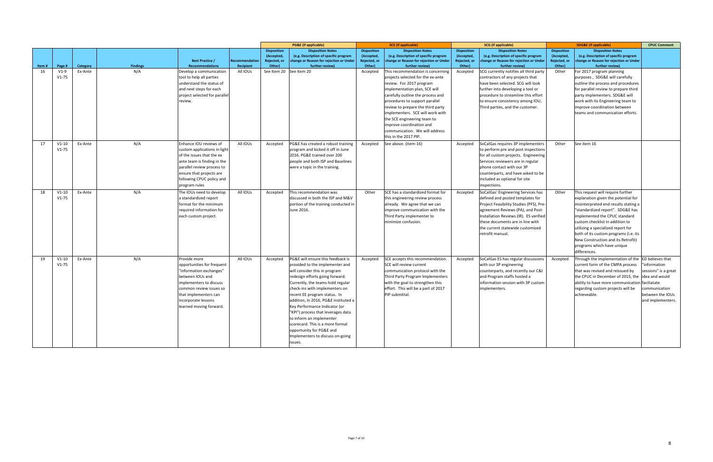|       |                      |          |                 |                                                                                                                                                                                                                            |                                    |                                                            | <b>PG&amp;E</b> (if applicable)                                                                                                                                                                                                                                                                                                                                                                                                                                                                           |                                                            | <b>SCE</b> (if applicable)                                                                                                                                                                                                                                                                                                                                                                                |                                                            | <b>SCG</b> (if applicable)                                                                                                                                                                                                                                                                   |                                                            | <b>SDG&amp;E (if applicable)</b>                                                                                                                                                                                                                                                                                                                                                            | <b>CPUC Comment</b>                                                                                                              |
|-------|----------------------|----------|-----------------|----------------------------------------------------------------------------------------------------------------------------------------------------------------------------------------------------------------------------|------------------------------------|------------------------------------------------------------|-----------------------------------------------------------------------------------------------------------------------------------------------------------------------------------------------------------------------------------------------------------------------------------------------------------------------------------------------------------------------------------------------------------------------------------------------------------------------------------------------------------|------------------------------------------------------------|-----------------------------------------------------------------------------------------------------------------------------------------------------------------------------------------------------------------------------------------------------------------------------------------------------------------------------------------------------------------------------------------------------------|------------------------------------------------------------|----------------------------------------------------------------------------------------------------------------------------------------------------------------------------------------------------------------------------------------------------------------------------------------------|------------------------------------------------------------|---------------------------------------------------------------------------------------------------------------------------------------------------------------------------------------------------------------------------------------------------------------------------------------------------------------------------------------------------------------------------------------------|----------------------------------------------------------------------------------------------------------------------------------|
| Item# | Page #               | Category | <b>Findings</b> | <b>Best Practice /</b><br><b>Recommendations</b>                                                                                                                                                                           | <b>Recommendatior</b><br>Recipient | <b>Disposition</b><br>(Accepted,<br>Rejected, or<br>Other) | <b>Disposition Notes</b><br>(e.g. Description of specific program<br>change or Reason for rejection or Under<br>further review)                                                                                                                                                                                                                                                                                                                                                                           | <b>Disposition</b><br>(Accepted,<br>Rejected, or<br>Other) | <b>Disposition Notes</b><br>(e.g. Description of specific program<br>change or Reason for rejection or Under<br>further review)                                                                                                                                                                                                                                                                           | <b>Disposition</b><br>(Accepted,<br>Rejected, or<br>Other) | <b>Disposition Notes</b><br>(e.g. Description of specific program<br>change or Reason for rejection or Under<br>further review)                                                                                                                                                              | <b>Disposition</b><br>(Accepted,<br>Rejected, or<br>Other) | <b>Disposition Notes</b><br>(e.g. Description of specific program<br>change or Reason for rejection or Under<br>further review)                                                                                                                                                                                                                                                             |                                                                                                                                  |
| 16    | $V1-9$<br>$V1-75$    | Ex-Ante  | N/A             | Develop a communication<br>tool to help all parties<br>understand the status of<br>and next steps for each<br>project selected for parallel<br>review.                                                                     | All IOUs                           |                                                            | See Item 20 See Item 20                                                                                                                                                                                                                                                                                                                                                                                                                                                                                   | Accepted                                                   | This recommendation is concerning<br>projects selected for the ex-ante<br>review. For 2017 program<br>implementation plan, SCE will<br>carefully outline the process and<br>procedures to support parallel<br>review to prepare the third party<br>implementers. SCE will work with<br>the SCE engineering team to<br>improve coordination and<br>communication. We will address<br>this in the 2017 PIP. | Accepted                                                   | SCG currently notifies all third party<br>contractors of any projects that<br>have been selected. SCG will look<br>further into developing a tool or<br>procedure to streamline this effort<br>to ensure consistency among IOU,<br>Third parties, and the customer.                          | Other                                                      | For 2017 program planning<br>purposes, SDG&E will carefully<br>outline the process and procedures<br>for parallel review to prepare third<br>party implementers. SDG&E will<br>work with its Engineering team to<br>improve coordination between<br>teams and communication efforts.                                                                                                        |                                                                                                                                  |
| 17    | $V1-10$<br>$V1-75$   | Ex-Ante  | N/A             | Enhance IOU reviews of<br>custom applications in light<br>of the issues that the ex<br>ante team is finding in the<br>parallel review process to<br>ensure that projects are<br>following CPUC policy and<br>program rules | All IOUs                           | Accepted                                                   | PG&E has created a robust training<br>program and kicked it off in June<br>2016. PG&E trained over 200<br>people and both ISP and Baselines<br>were a topic in the training.                                                                                                                                                                                                                                                                                                                              | Accepted                                                   | See above. (item-16)                                                                                                                                                                                                                                                                                                                                                                                      | Accepted                                                   | SoCalGas requires 3P implementers<br>to perform pre and post inspections<br>for all custom projects. Engineering<br>Services reviewers are in regular<br>phone contact with our 3P<br>counterparts, and have asked to be<br>included as optional for site<br>inspections.                    | Other                                                      | See item 16                                                                                                                                                                                                                                                                                                                                                                                 |                                                                                                                                  |
| 18    | $V1-10$<br>$V1-75$   | Ex-Ante  | N/A             | The IOUs need to develop<br>a standardized report<br>format for the minimum<br>required information for<br>each custom project.                                                                                            | All IOUs                           | Accepted                                                   | This recommendation was<br>discussed in both the ISP and M&V<br>portion of the training conducted in<br>June 2016.                                                                                                                                                                                                                                                                                                                                                                                        | Other                                                      | SCE has a standardized format for<br>this engineering review process<br>already. We agree that we can<br>improve communication with the<br>Third Party implementer to<br>minimize confusion.                                                                                                                                                                                                              | Accepted                                                   | SoCalGas' Engineering Services has<br>defined and posted templates for<br>Project Feasibility Studies (PFS), Pre-<br>agreement Reviews (PA), and Post-<br>Installation Reviews (IR). ES verified<br>these documents are in line with<br>the current statewide customized<br>retrofit manual. | Other                                                      | This request will require further<br>explanation given the potential for<br>misinterpreted end results stating a<br>"standardized report". SDG&E has<br>implemented the CPUC standard<br>custom checklist in addition to<br>utilizing a specialized report for<br>both of its custom programs (i.e. its<br>New Construction and its Retrofit)<br>programs which have unique<br>differences. |                                                                                                                                  |
| 19    | $V1-10$<br>$V1 - 75$ | Ex-Ante  | N/A             | Provide more<br>opportunities for frequent<br>"information exchanges"<br>between IOUs and<br>implementers to discuss<br>common review issues so<br>that implementers can<br>incorporate lessons<br>learned moving forward. | All IOUs                           | Accepted                                                   | PG&E will ensure this feedback is<br>provided to the implementer and<br>will consider this in program<br>redesign efforts going forward.<br>Currently, the teams hold regular<br>check-ins with implementers on<br>recent EE program status. In<br>addition, in 2016, PG&E instituted a<br>Key Performance Indicator (or<br>"KPI") process that leverages data<br>to inform an implementer<br>scorecard. This is a more formal<br>opportunity for PG&E and<br>Implementers to discuss on-going<br>issues. | Accepted                                                   | SCE accepts this recommendation.<br>SCE will review current<br>communication protocol with the<br>Third Party Program Implementers<br>with the goal to strengthen this<br>effort. This will be a part of 2017<br>PIP submittal.                                                                                                                                                                           | Accepted                                                   | SoCalGas ES has regular discussions<br>with our 3P engineering<br>counterparts, and recently our C&I<br>and Program staffs hosted a<br>information session with 3P custom<br>implementers.                                                                                                   | Accepted                                                   | Through the implementation of the<br>current form of the CMPA process<br>that was revised and reissued by<br>the CPUC in December of 2015, the lidea and would<br>ability to have more communication<br>regarding custom projects will be<br>achieveable.                                                                                                                                   | ED believes that<br>information<br>sessions" is a great<br>faciliatate<br>communication<br>between the IOUs<br>and implementers. |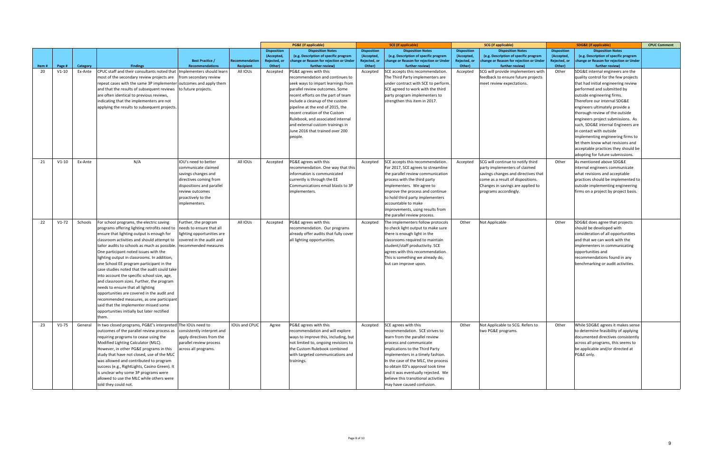|       |         |          |                                                                              |                                                  |                                    |                        | <b>PG&amp;E</b> (if applicable)                                              |                        | SCE (if applicable)                                        |                        | <b>SCG</b> (if applicable)                                 |                        | <b>SDG&amp;E (if applicable)</b>                                           | <b>CPUC Comment</b> |
|-------|---------|----------|------------------------------------------------------------------------------|--------------------------------------------------|------------------------------------|------------------------|------------------------------------------------------------------------------|------------------------|------------------------------------------------------------|------------------------|------------------------------------------------------------|------------------------|----------------------------------------------------------------------------|---------------------|
|       |         |          |                                                                              |                                                  |                                    | <b>Disposition</b>     | <b>Disposition Notes</b>                                                     | <b>Disposition</b>     | <b>Disposition Notes</b>                                   | <b>Disposition</b>     | <b>Disposition Notes</b>                                   | <b>Disposition</b>     | <b>Disposition Notes</b>                                                   |                     |
|       |         |          |                                                                              |                                                  |                                    | (Accepted,             | (e.g. Description of specific program                                        | (Accepted,             | (e.g. Description of specific program                      | (Accepted,             | (e.g. Description of specific program                      | (Accepted,             | (e.g. Description of specific program                                      |                     |
| Item# | Page #  | Category | <b>Findings</b>                                                              | <b>Best Practice /</b><br><b>Recommendations</b> | <b>Recommendation</b><br>Recipient | Rejected, or<br>Other) | change or Reason for rejection or Under<br>further review)                   | Rejected, or<br>Other) | change or Reason for rejection or Under<br>further review) | Rejected, or<br>Other) | change or Reason for rejection or Under<br>further review) | Rejected, or<br>Other) | change or Reason for rejection or Under<br>further review)                 |                     |
| 20    | $V1-10$ | Ex-Ante  | CPUC staff and their consultants noted that                                  | Implementers should learn                        | All IOUs                           | Accepted               | PG&E agrees with this                                                        | Accepted               | SCE accepts this recommendation.                           | Accepted               | SCG will provide implementers with                         | Other                  | SDG&E internal engineers are the                                           |                     |
|       |         |          | most of the secondary review projects are                                    | from secondary review                            |                                    |                        | recommendation and continues to                                              |                        | The Third Party implementers are                           |                        | feedback to ensure future projects                         |                        | quality control for the few projects                                       |                     |
|       |         |          | repeat cases with the same 3P implementer                                    | outcomes and apply them                          |                                    |                        | seek ways to impart learnings from                                           |                        | under contract with SCE to perform.                        |                        | meet review expectations.                                  |                        | that had initial engineering review                                        |                     |
|       |         |          | and that the results of subsequent reviews                                   |                                                  |                                    |                        | parallel review outcomes. Some                                               |                        | SCE agreed to work with the third                          |                        |                                                            |                        | performed and submitted by                                                 |                     |
|       |         |          |                                                                              | to future projects.                              |                                    |                        |                                                                              |                        |                                                            |                        |                                                            |                        |                                                                            |                     |
|       |         |          | are often identical to previous reviews,                                     |                                                  |                                    |                        | recent efforts on the part of team                                           |                        | party program implementers to                              |                        |                                                            |                        | outside engineering firms.                                                 |                     |
|       |         |          | indicating that the implementers are not                                     |                                                  |                                    |                        | include a cleanup of the custom                                              |                        | strengthen this item in 2017.                              |                        |                                                            |                        | Therefore our internal SDG&E                                               |                     |
|       |         |          | applying the results to subsequent projects.                                 |                                                  |                                    |                        | pipeline at the end of 2015, the                                             |                        |                                                            |                        |                                                            |                        | engineers ultimately provide a                                             |                     |
|       |         |          |                                                                              |                                                  |                                    |                        | recent creation of the Custom                                                |                        |                                                            |                        |                                                            |                        | thorough review of the outside                                             |                     |
|       |         |          |                                                                              |                                                  |                                    |                        | Rulebook, and associated internal                                            |                        |                                                            |                        |                                                            |                        | engineers project submissions. As                                          |                     |
|       |         |          |                                                                              |                                                  |                                    |                        | and external custom trainings in                                             |                        |                                                            |                        |                                                            |                        | such, SDG&E internal Engineers are                                         |                     |
|       |         |          |                                                                              |                                                  |                                    |                        | June 2016 that trained over 200                                              |                        |                                                            |                        |                                                            |                        | in contact with outside                                                    |                     |
|       |         |          |                                                                              |                                                  |                                    |                        | people.                                                                      |                        |                                                            |                        |                                                            |                        | implementing engineering firms to                                          |                     |
|       |         |          |                                                                              |                                                  |                                    |                        |                                                                              |                        |                                                            |                        |                                                            |                        | let them know what revisions and                                           |                     |
|       |         |          |                                                                              |                                                  |                                    |                        |                                                                              |                        |                                                            |                        |                                                            |                        | acceptable practices they should be                                        |                     |
|       |         |          |                                                                              |                                                  |                                    |                        |                                                                              |                        |                                                            |                        |                                                            |                        | adopting for future submissions.                                           |                     |
| 21    | $V1-10$ | Ex-Ante  | N/A                                                                          | IOU's need to better                             | All IOUs                           | Accepted               | PG&E agrees with this                                                        | Accepted               | SCE accepts this recommendation.                           | Accepted               | SCG will continue to notify third                          | Other                  | As mentioned above SDG&E                                                   |                     |
|       |         |          |                                                                              | communicate claimed                              |                                    |                        | recommendation. One way that this                                            |                        | For 2017, SCE agrees to streamline                         |                        | party implementers of claimed                              |                        | internal engineers communicate                                             |                     |
|       |         |          |                                                                              | savings changes and                              |                                    |                        | information is communicated                                                  |                        | the parallel review communication                          |                        | savings changes and directives that                        |                        | what revisions and acceptable                                              |                     |
|       |         |          |                                                                              | directives coming from                           |                                    |                        | currently is through the EE                                                  |                        | process with the third party                               |                        | come as a result of dispositions.                          |                        | practices should be implemented to                                         |                     |
|       |         |          |                                                                              | dispositions and parallel                        |                                    |                        | Communications email blasts to 3P                                            |                        | implementers. We agree to                                  |                        | Changes in savings are applied to                          |                        | outside implementing engineering                                           |                     |
|       |         |          |                                                                              | review outcomes                                  |                                    |                        | implementers.                                                                |                        | improve the process and continue                           |                        | programs accordingly.                                      |                        | firms on a project by project basis.                                       |                     |
|       |         |          |                                                                              | proactively to the                               |                                    |                        |                                                                              |                        | to hold third party implementers                           |                        |                                                            |                        |                                                                            |                     |
|       |         |          |                                                                              | implementers.                                    |                                    |                        |                                                                              |                        | accountable to make                                        |                        |                                                            |                        |                                                                            |                     |
|       |         |          |                                                                              |                                                  |                                    |                        |                                                                              |                        | improvements, using results from                           |                        |                                                            |                        |                                                                            |                     |
|       |         |          |                                                                              |                                                  |                                    |                        |                                                                              |                        | the parallel review process.                               |                        |                                                            |                        |                                                                            |                     |
| 22    | $V1-72$ | Schools  | For school programs, the electric saving                                     | Further, the program                             | All IOUs                           | Accepted               | PG&E agrees with this                                                        | Accepted               | The implementers follow protocols                          | Other                  | Not Applicable                                             | Other                  | SDG&E does agree that projects                                             |                     |
|       |         |          | programs offering lighting retrofits need to needs to ensure that all        |                                                  |                                    |                        | recommendation. Our programs                                                 |                        | to check light output to make sure                         |                        |                                                            |                        | should be developed with                                                   |                     |
|       |         |          | ensure that lighting output is enough for                                    | lighting opportunities are                       |                                    |                        | already offer audits that fully cover                                        |                        | there is enough light in the                               |                        |                                                            |                        | consideration of all opportunities                                         |                     |
|       |         |          | classroom activities and should attempt to                                   | covered in the audit and                         |                                    |                        | all lighting opportunities.                                                  |                        | classrooms required to maintain                            |                        |                                                            |                        | and that we can work with the                                              |                     |
|       |         |          | tailor audits to schools as much as possible.                                | recommended measures                             |                                    |                        |                                                                              |                        | student/staff productivity. SCE                            |                        |                                                            |                        | implementers in communicating                                              |                     |
|       |         |          | One participant noted issues with the                                        |                                                  |                                    |                        |                                                                              |                        | agrees with this recommendation.                           |                        |                                                            |                        | opportunities and                                                          |                     |
|       |         |          | lighting output in classrooms. In addition,                                  |                                                  |                                    |                        |                                                                              |                        | This is something we already do,                           |                        |                                                            |                        | recommendations found in any                                               |                     |
|       |         |          | one School EE program participant in the                                     |                                                  |                                    |                        |                                                                              |                        | but can improve upon.                                      |                        |                                                            |                        | benchmarking or audit activities.                                          |                     |
|       |         |          | case studies noted that the audit could take                                 |                                                  |                                    |                        |                                                                              |                        |                                                            |                        |                                                            |                        |                                                                            |                     |
|       |         |          | into account the specific school size, age,                                  |                                                  |                                    |                        |                                                                              |                        |                                                            |                        |                                                            |                        |                                                                            |                     |
|       |         |          | and classroom sizes. Further, the program                                    |                                                  |                                    |                        |                                                                              |                        |                                                            |                        |                                                            |                        |                                                                            |                     |
|       |         |          | needs to ensure that all lighting                                            |                                                  |                                    |                        |                                                                              |                        |                                                            |                        |                                                            |                        |                                                                            |                     |
|       |         |          | opportunities are covered in the audit and                                   |                                                  |                                    |                        |                                                                              |                        |                                                            |                        |                                                            |                        |                                                                            |                     |
|       |         |          | recommended measures, as one participant                                     |                                                  |                                    |                        |                                                                              |                        |                                                            |                        |                                                            |                        |                                                                            |                     |
|       |         |          | said that the implementer missed some                                        |                                                  |                                    |                        |                                                                              |                        |                                                            |                        |                                                            |                        |                                                                            |                     |
|       |         |          | opportunities initially but later rectified                                  |                                                  |                                    |                        |                                                                              |                        |                                                            |                        |                                                            |                        |                                                                            |                     |
|       |         |          | them.                                                                        |                                                  |                                    |                        |                                                                              |                        |                                                            |                        |                                                            |                        |                                                                            |                     |
| 23    | $V1-75$ | General  | In two closed programs, PG&E's interpreted The IOUs need to                  |                                                  | IOUs and CPUC                      | Agree                  | PG&E agrees with this                                                        | Accepted               | SCE agrees with this                                       | Other                  | Not Applicable to SCG. Refers to                           | Other                  | While SDG&E agrees it makes sense                                          |                     |
|       |         |          |                                                                              |                                                  |                                    |                        | recommendation and will explore                                              |                        |                                                            |                        |                                                            |                        |                                                                            |                     |
|       |         |          | outcomes of the parallel review process as                                   | consistently interpret and                       |                                    |                        |                                                                              |                        | recommendation. SCE strives to                             |                        | two PG&E programs.                                         |                        | to determine feasibility of applying<br>documented directives consistently |                     |
|       |         |          | requiring programs to cease using the<br>Modified Lighting Calculator (MLC). | apply directives from the                        |                                    |                        | ways to improve this, including, but<br>not limited to, ongoing revisions to |                        | learn from the parallel review<br>process and communicate  |                        |                                                            |                        |                                                                            |                     |
|       |         |          |                                                                              | parallel review process                          |                                    |                        |                                                                              |                        |                                                            |                        |                                                            |                        | across all programs, this seems to                                         |                     |
|       |         |          | However, in other PG&E programs in this                                      | across all programs.                             |                                    |                        | the Custom Rulebook combined                                                 |                        | implications to the Third Party                            |                        |                                                            |                        | be applicable and/or directed at                                           |                     |
|       |         |          | study that have not closed, use of the MLC                                   |                                                  |                                    |                        | with targeted communications and                                             |                        | implementers in a timely fashion.                          |                        |                                                            |                        | PG&E only.                                                                 |                     |
|       |         |          | was allowed and contributed to program                                       |                                                  |                                    |                        | trainings.                                                                   |                        | In the case of the MLC, the process                        |                        |                                                            |                        |                                                                            |                     |
|       |         |          | success (e.g., RightLights, Casino Green). It                                |                                                  |                                    |                        |                                                                              |                        | to obtain ED's approval took time                          |                        |                                                            |                        |                                                                            |                     |
|       |         |          | is unclear why some 3P programs were                                         |                                                  |                                    |                        |                                                                              |                        | and it was eventually rejected. We                         |                        |                                                            |                        |                                                                            |                     |
|       |         |          | allowed to use the MLC while others were                                     |                                                  |                                    |                        |                                                                              |                        | believe this transitional activities                       |                        |                                                            |                        |                                                                            |                     |
|       |         |          | told they could not.                                                         |                                                  |                                    |                        |                                                                              |                        | may have caused confusion.                                 |                        |                                                            |                        |                                                                            |                     |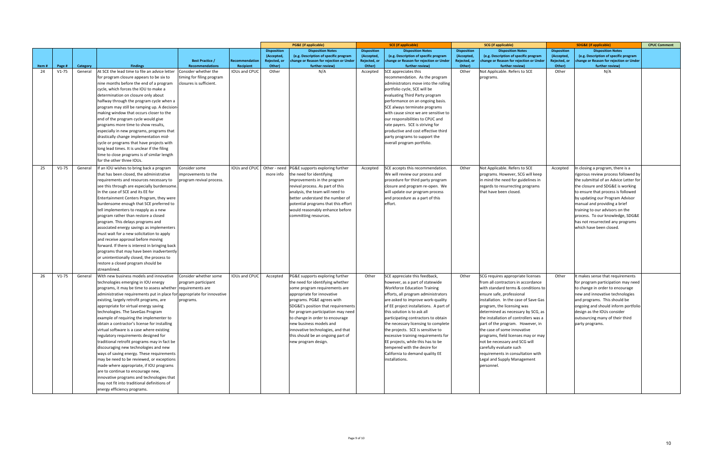|       |         |          |                                                                                           |                                                 |                |                           | <b>PG&amp;E</b> (if applicable)                                                  |                            | <b>SCE</b> (if applicable)                                                       |                            | <b>SCG</b> (if applicable)                                                       |                            | <b>SDG&amp;E</b> (if applicable)                                                 | <b>CPUC Comment</b> |
|-------|---------|----------|-------------------------------------------------------------------------------------------|-------------------------------------------------|----------------|---------------------------|----------------------------------------------------------------------------------|----------------------------|----------------------------------------------------------------------------------|----------------------------|----------------------------------------------------------------------------------|----------------------------|----------------------------------------------------------------------------------|---------------------|
|       |         |          |                                                                                           |                                                 |                | <b>Disposition</b>        | <b>Disposition Notes</b>                                                         | <b>Disposition</b>         | <b>Disposition Notes</b>                                                         | <b>Disposition</b>         | <b>Disposition Notes</b>                                                         | <b>Disposition</b>         | <b>Disposition Notes</b>                                                         |                     |
|       |         |          |                                                                                           | <b>Best Practice /</b>                          | Recommendation | (Accepted<br>Rejected, or | (e.g. Description of specific program<br>change or Reason for rejection or Under | (Accepted,<br>Rejected, or | (e.g. Description of specific program<br>change or Reason for rejection or Under | (Accepted,<br>Rejected, or | (e.g. Description of specific program<br>change or Reason for rejection or Under | (Accepted,<br>Rejected, or | (e.g. Description of specific program<br>change or Reason for rejection or Under |                     |
| Item# | Page #  | Category | <b>Findings</b>                                                                           | <b>Recommendations</b>                          | Recipient      | Other)                    | further review)                                                                  | Other)                     | further review)                                                                  | Other)                     | further review)                                                                  | Other)                     | further review)                                                                  |                     |
| 24    | $V1-75$ | General  | At SCE the lead time to file an advice letter                                             | Consider whether the                            | IOUs and CPUC  | Other                     | N/A                                                                              | Accepted                   | SCE appreciates this                                                             | Other                      | Not Applicable. Refers to SCE                                                    | Other                      | N/A                                                                              |                     |
|       |         |          | for program closure appears to be six to                                                  | timing for filing program                       |                |                           |                                                                                  |                            | recommendation. As the program                                                   |                            | programs.                                                                        |                            |                                                                                  |                     |
|       |         |          | nine months before the end of a program                                                   | closures is sufficient.                         |                |                           |                                                                                  |                            | administrators move into the rolling                                             |                            |                                                                                  |                            |                                                                                  |                     |
|       |         |          | cycle, which forces the IOU to make a                                                     |                                                 |                |                           |                                                                                  |                            | portfolio cycle, SCE will be                                                     |                            |                                                                                  |                            |                                                                                  |                     |
|       |         |          | determination on closure only about                                                       |                                                 |                |                           |                                                                                  |                            | evaluating Third Party program                                                   |                            |                                                                                  |                            |                                                                                  |                     |
|       |         |          | halfway through the program cycle when a                                                  |                                                 |                |                           |                                                                                  |                            | performance on an ongoing basis.                                                 |                            |                                                                                  |                            |                                                                                  |                     |
|       |         |          | program may still be ramping up. A decision                                               |                                                 |                |                           |                                                                                  |                            | SCE always terminate programs                                                    |                            |                                                                                  |                            |                                                                                  |                     |
|       |         |          | making window that occurs closer to the                                                   |                                                 |                |                           |                                                                                  |                            | with cause since we are sensitive to                                             |                            |                                                                                  |                            |                                                                                  |                     |
|       |         |          | end of the program cycle would give                                                       |                                                 |                |                           |                                                                                  |                            | our responsibilities to CPUC and                                                 |                            |                                                                                  |                            |                                                                                  |                     |
|       |         |          | programs more time to show results,                                                       |                                                 |                |                           |                                                                                  |                            | rate payers. SCE is striving for                                                 |                            |                                                                                  |                            |                                                                                  |                     |
|       |         |          | especially in new programs, programs that                                                 |                                                 |                |                           |                                                                                  |                            | productive and cost effective third                                              |                            |                                                                                  |                            |                                                                                  |                     |
|       |         |          | drastically change implementation mid-                                                    |                                                 |                |                           |                                                                                  |                            | party programs to support the                                                    |                            |                                                                                  |                            |                                                                                  |                     |
|       |         |          | cycle or programs that have projects with<br>long lead times. It is unclear if the filing |                                                 |                |                           |                                                                                  |                            | overall program portfolio.                                                       |                            |                                                                                  |                            |                                                                                  |                     |
|       |         |          | time to close programs is of similar length                                               |                                                 |                |                           |                                                                                  |                            |                                                                                  |                            |                                                                                  |                            |                                                                                  |                     |
|       |         |          | for the other three IOUs.                                                                 |                                                 |                |                           |                                                                                  |                            |                                                                                  |                            |                                                                                  |                            |                                                                                  |                     |
|       |         |          |                                                                                           |                                                 |                |                           |                                                                                  |                            |                                                                                  |                            |                                                                                  |                            |                                                                                  |                     |
| 25    | $V1-75$ | General  | f an IOU wishes to bring back a program                                                   | Consider some                                   | IOUs and CPUC  | Other - need<br>more info | PG&E supports exploring further<br>the need for identifying                      | Accepted                   | SCE accepts this recommendation.                                                 | Other                      | Not Applicable. Refers to SCE                                                    | Accepted                   | In closing a program, there is a                                                 |                     |
|       |         |          | that has been closed, the administrative<br>requirements and resources necessary to       | improvements to the<br>program revival process. |                |                           | improvements in the program                                                      |                            | We will review our process and<br>procedure for third party program              |                            | programs. However, SCG will keep<br>in mind the need for guidelines in           |                            | rigorous review process followed by<br>the submittal of an Advice Letter for     |                     |
|       |         |          | see this through are especially burdensome                                                |                                                 |                |                           | revival process. As part of this                                                 |                            | closure and program re-open. We                                                  |                            | regards to resurrecting programs                                                 |                            | the closure and SDG&E is working                                                 |                     |
|       |         |          | n the case of SCE and its EE for                                                          |                                                 |                |                           | analysis, the team will need to                                                  |                            | will update our program process                                                  |                            | that have been closed.                                                           |                            | to ensure that process is followed                                               |                     |
|       |         |          | <b>Entertainment Centers Program, they were</b>                                           |                                                 |                |                           | better understand the number of                                                  |                            | and procedure as a part of this                                                  |                            |                                                                                  |                            | by updating our Program Advisor                                                  |                     |
|       |         |          | burdensome enough that SCE preferred to                                                   |                                                 |                |                           | potential programs that this effort                                              |                            | effort.                                                                          |                            |                                                                                  |                            | manual and providing a brief                                                     |                     |
|       |         |          | tell implementers to reapply as a new                                                     |                                                 |                |                           | would reasonably enhance before                                                  |                            |                                                                                  |                            |                                                                                  |                            | training to our advisors on the                                                  |                     |
|       |         |          | program rather than restore a closed                                                      |                                                 |                |                           | committing resources.                                                            |                            |                                                                                  |                            |                                                                                  |                            | process. To our knowledge, SDG&E                                                 |                     |
|       |         |          | program. This delays programs and                                                         |                                                 |                |                           |                                                                                  |                            |                                                                                  |                            |                                                                                  |                            | has not resurrected any programs                                                 |                     |
|       |         |          | associated energy savings as implementers                                                 |                                                 |                |                           |                                                                                  |                            |                                                                                  |                            |                                                                                  |                            | which have been closed.                                                          |                     |
|       |         |          | must wait for a new solicitation to apply                                                 |                                                 |                |                           |                                                                                  |                            |                                                                                  |                            |                                                                                  |                            |                                                                                  |                     |
|       |         |          | and receive approval before moving                                                        |                                                 |                |                           |                                                                                  |                            |                                                                                  |                            |                                                                                  |                            |                                                                                  |                     |
|       |         |          | forward. If there is interest in bringing back                                            |                                                 |                |                           |                                                                                  |                            |                                                                                  |                            |                                                                                  |                            |                                                                                  |                     |
|       |         |          | programs that may have been inadvertently                                                 |                                                 |                |                           |                                                                                  |                            |                                                                                  |                            |                                                                                  |                            |                                                                                  |                     |
|       |         |          | or unintentionally closed, the process to                                                 |                                                 |                |                           |                                                                                  |                            |                                                                                  |                            |                                                                                  |                            |                                                                                  |                     |
|       |         |          | restore a closed program should be<br>streamlined.                                        |                                                 |                |                           |                                                                                  |                            |                                                                                  |                            |                                                                                  |                            |                                                                                  |                     |
| 26    | $V1-75$ | General  | With new business models and innovative                                                   | Consider whether some                           | IOUs and CPUC  | Accepted                  | PG&E supports exploring further                                                  | Other                      | SCE appreciate this feedback,                                                    | Other                      | SCG requires appropriate licenses                                                | Other                      | It makes sense that requirements                                                 |                     |
|       |         |          | technologies emerging in IOU energy                                                       | program participant                             |                |                           | the need for identifying whether                                                 |                            | however, as a part of statewide                                                  |                            | from all contractors in accordance                                               |                            | for program participation may need                                               |                     |
|       |         |          | programs, it may be time to assess whether requirements are                               |                                                 |                |                           | some program requirements are                                                    |                            | <b>Workforce Education Training</b>                                              |                            | with standard terms & conditions to                                              |                            | to change in order to encourage                                                  |                     |
|       |         |          | administrative requirements put in place for appropriate for innovative                   |                                                 |                |                           | appropriate for innovative                                                       |                            | efforts, all program administrators                                              |                            | ensure safe, professional                                                        |                            | new and innovative technologies                                                  |                     |
|       |         |          | existing, largely retrofit programs, are                                                  | programs.                                       |                |                           | programs. PG&E agrees with                                                       |                            | are asked to improve work-quality                                                |                            | installation. In the case of Save Gas                                            |                            | and programs. This should be                                                     |                     |
|       |         |          | appropriate for virtual energy saving                                                     |                                                 |                |                           | SDG&E's position that requirements                                               |                            | of EE project installations. A part of                                           |                            | program, the licensing was                                                       |                            | ongoing and should inform portfolio                                              |                     |
|       |         |          | technologies. The SaveGas Program                                                         |                                                 |                |                           | for program participation may need                                               |                            | this solution is to ask all                                                      |                            | determined as necessary by SCG, as                                               |                            | design as the IOUs consider                                                      |                     |
|       |         |          | example of requiring the implementer to                                                   |                                                 |                |                           | to change in order to encourage                                                  |                            | participating contractors to obtain                                              |                            | the installation of controllers was a                                            |                            | outsourcing many of their third                                                  |                     |
|       |         |          | obtain a contractor's license for installing                                              |                                                 |                |                           | new business models and                                                          |                            | the necessary licensing to complete                                              |                            | part of the program. However, in                                                 |                            | party programs.                                                                  |                     |
|       |         |          | virtual software is a case where existing                                                 |                                                 |                |                           | innovative technologies, and that                                                |                            | the projects. SCE is sensitive to                                                |                            | the case of some innovative                                                      |                            |                                                                                  |                     |
|       |         |          | regulatory requirements designed for                                                      |                                                 |                |                           | this should be an ongoing part of                                                |                            | excessive training requirements for                                              |                            | programs, field licenses may or may                                              |                            |                                                                                  |                     |
|       |         |          | traditional retrofit programs may in fact be                                              |                                                 |                |                           | new program design.                                                              |                            | EE projects, while this has to be                                                |                            | not be necessary and SCG will                                                    |                            |                                                                                  |                     |
|       |         |          | discouraging new technologies and new                                                     |                                                 |                |                           |                                                                                  |                            | tempered with the desire for                                                     |                            | carefully evaluate such                                                          |                            |                                                                                  |                     |
|       |         |          | ways of saving energy. These requirements                                                 |                                                 |                |                           |                                                                                  |                            | California to demand quality EE                                                  |                            | requirements in consultation with                                                |                            |                                                                                  |                     |
|       |         |          | may be need to be reviewed, or exceptions<br>made where appropriate, if IOU programs      |                                                 |                |                           |                                                                                  |                            | installations.                                                                   |                            | Legal and Supply Management<br>personnel.                                        |                            |                                                                                  |                     |
|       |         |          | are to continue to encourage new,                                                         |                                                 |                |                           |                                                                                  |                            |                                                                                  |                            |                                                                                  |                            |                                                                                  |                     |
|       |         |          | innovative programs and technologies that                                                 |                                                 |                |                           |                                                                                  |                            |                                                                                  |                            |                                                                                  |                            |                                                                                  |                     |
|       |         |          | may not fit into traditional definitions of                                               |                                                 |                |                           |                                                                                  |                            |                                                                                  |                            |                                                                                  |                            |                                                                                  |                     |
|       |         |          | energy efficiency programs.                                                               |                                                 |                |                           |                                                                                  |                            |                                                                                  |                            |                                                                                  |                            |                                                                                  |                     |
|       |         |          |                                                                                           |                                                 |                |                           |                                                                                  |                            |                                                                                  |                            |                                                                                  |                            |                                                                                  |                     |